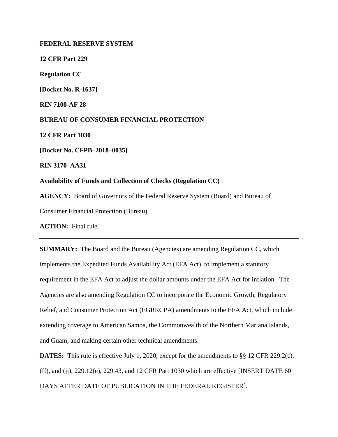**FEDERAL RESERVE SYSTEM 12 CFR Part 229 Regulation CC [Docket No. R-1637] RIN 7100-AF 28 BUREAU OF CONSUMER FINANCIAL PROTECTION 12 CFR Part 1030 [Docket No. CFPB–2018–0035] RIN 3170–AA31 Availability of Funds and Collection of Checks (Regulation CC) AGENCY:** Board of Governors of the Federal Reserve System (Board) and Bureau of Consumer Financial Protection (Bureau)

**ACTION:** Final rule.

**SUMMARY:** The Board and the Bureau (Agencies) are amending Regulation CC, which implements the Expedited Funds Availability Act (EFA Act), to implement a statutory requirement in the EFA Act to adjust the dollar amounts under the EFA Act for inflation. The Agencies are also amending Regulation CC to incorporate the Economic Growth, Regulatory Relief, and Consumer Protection Act (EGRRCPA) amendments to the EFA Act, which include extending coverage to American Samoa, the Commonwealth of the Northern Mariana Islands, and Guam, and making certain other technical amendments.

**DATES:** This rule is effective July 1, 2020, except for the amendments to §§ 12 CFR 229.2(c),  $(ff)$ , and  $(jj)$ , 229.12(e), 229.43, and 12 CFR Part 1030 which are effective [INSERT DATE 60] DAYS AFTER DATE OF PUBLICATION IN THE FEDERAL REGISTER].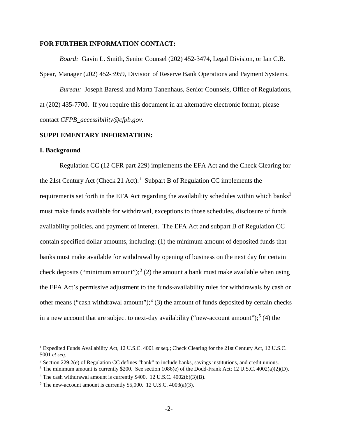### **FOR FURTHER INFORMATION CONTACT:**

*Board:*Gavin L. Smith, Senior Counsel (202) 452-3474, Legal Division, or Ian C.B.

Spear, Manager (202) 452-3959, Division of Reserve Bank Operations and Payment Systems.

*Bureau:* Joseph Baressi and Marta Tanenhaus, Senior Counsels, Office of Regulations, at (202) 435-7700. If you require this document in an alternative electronic format, please contact *CFPB\_accessibility@cfpb.gov*.

### **SUPPLEMENTARY INFORMATION:**

### **I. Background**

Regulation CC (12 CFR part 229) implements the EFA Act and the Check Clearing for the 2[1](#page-1-0)st Century Act (Check 21 Act).<sup>1</sup> Subpart B of Regulation CC implements the requirements set forth in the EFA Act regarding the availability schedules within which banks<sup>[2](#page-1-1)</sup> must make funds available for withdrawal, exceptions to those schedules, disclosure of funds availability policies, and payment of interest. The EFA Act and subpart B of Regulation CC contain specified dollar amounts, including: (1) the minimum amount of deposited funds that banks must make available for withdrawal by opening of business on the next day for certain check deposits ("minimum amount");<sup>[3](#page-1-2)</sup> (2) the amount a bank must make available when using the EFA Act's permissive adjustment to the funds-availability rules for withdrawals by cash or other means ("cash withdrawal amount");<sup>[4](#page-1-3)</sup> (3) the amount of funds deposited by certain checks in a new account that are subject to next-day availability ("new-account amount");<sup>[5](#page-1-4)</sup> (4) the

<span id="page-1-0"></span> <sup>1</sup> Expedited Funds Availability Act, 12 U.S.C. 4001 *et seq.*; Check Clearing for the 21st Century Act, 12 U.S.C. 5001 *et seq.* 

<span id="page-1-1"></span><sup>2</sup> Section 229.2(e) of Regulation CC defines "bank" to include banks, savings institutions, and credit unions.

<span id="page-1-2"></span><sup>&</sup>lt;sup>3</sup> The minimum amount is currently \$200. See section  $1086(e)$  of the Dodd-Frank Act; 12 U.S.C.  $4002(a)(2)(D)$ .

<span id="page-1-3"></span><sup>4</sup> The cash withdrawal amount is currently \$400. 12 U.S.C. 4002(b)(3)(B).

<span id="page-1-4"></span> $5$  The new-account amount is currently \$5,000. 12 U.S.C. 4003(a)(3).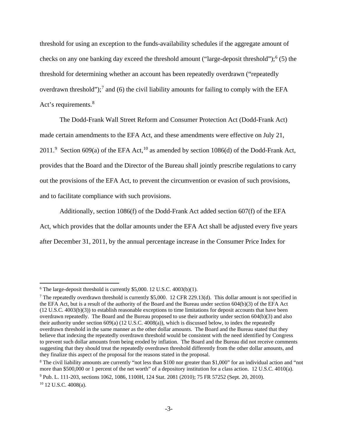threshold for using an exception to the funds-availability schedules if the aggregate amount of checks on any one banking day exceed the threshold amount ("large-deposit threshold");<sup>[6](#page-2-0)</sup> (5) the threshold for determining whether an account has been repeatedly overdrawn ("repeatedly overdrawn threshold");<sup>[7](#page-2-1)</sup> and (6) the civil liability amounts for failing to comply with the EFA Act's requirements.<sup>[8](#page-2-2)</sup>

The Dodd-Frank Wall Street Reform and Consumer Protection Act (Dodd-Frank Act) made certain amendments to the EFA Act, and these amendments were effective on July 21, 2011.<sup>[9](#page-2-3)</sup> Section 609(a) of the EFA Act,<sup>[10](#page-2-4)</sup> as amended by section 1086(d) of the Dodd-Frank Act, provides that the Board and the Director of the Bureau shall jointly prescribe regulations to carry out the provisions of the EFA Act, to prevent the circumvention or evasion of such provisions, and to facilitate compliance with such provisions.

Additionally, section 1086(f) of the Dodd-Frank Act added section 607(f) of the EFA Act, which provides that the dollar amounts under the EFA Act shall be adjusted every five years after December 31, 2011, by the annual percentage increase in the Consumer Price Index for

<span id="page-2-0"></span> $6$  The large-deposit threshold is currently \$5,000. 12 U.S.C. 4003(b)(1).

<span id="page-2-1"></span><sup>&</sup>lt;sup>7</sup> The repeatedly overdrawn threshold is currently \$5,000. 12 CFR 229.13(d). This dollar amount is not specified in the EFA Act, but is a result of the authority of the Board and the Bureau under section 604(b)(3) of the EFA Act (12 U.S.C. 4003(b)(3)) to establish reasonable exceptions to time limitations for deposit accounts that have been overdrawn repeatedly. The Board and the Bureau proposed to use their authority under section 604(b)(3) and also their authority under section 609(a) (12 U.S.C. 4008(a)), which is discussed below, to index the repeatedly overdrawn threshold in the same manner as the other dollar amounts. The Board and the Bureau stated that they believe that indexing the repeatedly overdrawn threshold would be consistent with the need identified by Congress to prevent such dollar amounts from being eroded by inflation. The Board and the Bureau did not receive comments suggesting that they should treat the repeatedly overdrawn threshold differently from the other dollar amounts, and they finalize this aspect of the proposal for the reasons stated in the proposal.

<span id="page-2-2"></span><sup>8</sup> The civil liability amounts are currently "not less than \$100 nor greater than \$1,000" for an individual action and "not more than \$500,000 or 1 percent of the net worth" of a depository institution for a class action. 12 U.S.C. 4010(a).

<span id="page-2-3"></span><sup>9</sup> Pub. L. 111-203, sections 1062, 1086, 1100H, 124 Stat. 2081 (2010); 75 FR 57252 (Sept. 20, 2010).

<span id="page-2-4"></span><sup>10</sup> 12 U.S.C. 4008(a).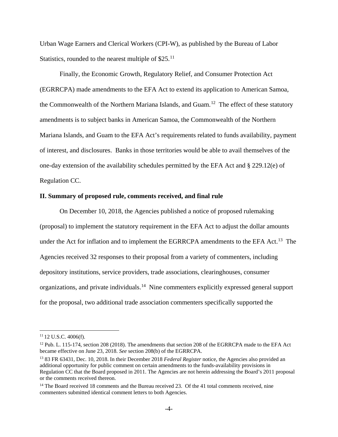Urban Wage Earners and Clerical Workers (CPI-W), as published by the Bureau of Labor Statistics, rounded to the nearest multiple of  $$25$ .<sup>[11](#page-3-0)</sup>

Finally, the Economic Growth, Regulatory Relief, and Consumer Protection Act (EGRRCPA) made amendments to the EFA Act to extend its application to American Samoa, the Commonwealth of the Northern Mariana Islands, and Guam.<sup>[12](#page-3-1)</sup> The effect of these statutory amendments is to subject banks in American Samoa, the Commonwealth of the Northern Mariana Islands, and Guam to the EFA Act's requirements related to funds availability, payment of interest, and disclosures. Banks in those territories would be able to avail themselves of the one-day extension of the availability schedules permitted by the EFA Act and § 229.12(e) of Regulation CC.

### **II. Summary of proposed rule, comments received, and final rule**

On December 10, 2018, the Agencies published a notice of proposed rulemaking (proposal) to implement the statutory requirement in the EFA Act to adjust the dollar amounts under the Act for inflation and to implement the EGRRCPA amendments to the EFA Act.<sup>[13](#page-3-2)</sup> The Agencies received 32 responses to their proposal from a variety of commenters, including depository institutions, service providers, trade associations, clearinghouses, consumer organizations, and private individuals.[14](#page-3-3) Nine commenters explicitly expressed general support for the proposal, two additional trade association commenters specifically supported the

<span id="page-3-0"></span> $11$  12 U.S.C. 4006(f).

<span id="page-3-1"></span><sup>&</sup>lt;sup>12</sup> Pub. L. 115-174, section 208 (2018). The amendments that section 208 of the EGRRCPA made to the EFA Act became effective on June 23, 2018. *See* section 208(b) of the EGRRCPA.

<span id="page-3-2"></span><sup>13</sup> 83 FR 63431, Dec. 10, 2018. In their December 2018 *Federal Register* notice, the Agencies also provided an additional opportunity for public comment on certain amendments to the funds-availability provisions in Regulation CC that the Board proposed in 2011. The Agencies are not herein addressing the Board's 2011 proposal or the comments received thereon.

<span id="page-3-3"></span><sup>&</sup>lt;sup>14</sup> The Board received 18 comments and the Bureau received 23. Of the 41 total comments received, nine commenters submitted identical comment letters to both Agencies.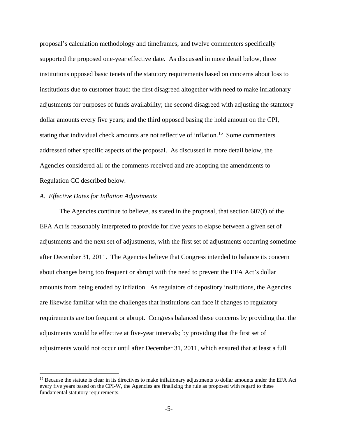proposal's calculation methodology and timeframes, and twelve commenters specifically supported the proposed one-year effective date. As discussed in more detail below, three institutions opposed basic tenets of the statutory requirements based on concerns about loss to institutions due to customer fraud: the first disagreed altogether with need to make inflationary adjustments for purposes of funds availability; the second disagreed with adjusting the statutory dollar amounts every five years; and the third opposed basing the hold amount on the CPI, stating that individual check amounts are not reflective of inflation. [15](#page-4-0) Some commenters addressed other specific aspects of the proposal. As discussed in more detail below, the Agencies considered all of the comments received and are adopting the amendments to Regulation CC described below.

### *A. Effective Dates for Inflation Adjustments*

The Agencies continue to believe, as stated in the proposal, that section 607(f) of the EFA Act is reasonably interpreted to provide for five years to elapse between a given set of adjustments and the next set of adjustments, with the first set of adjustments occurring sometime after December 31, 2011. The Agencies believe that Congress intended to balance its concern about changes being too frequent or abrupt with the need to prevent the EFA Act's dollar amounts from being eroded by inflation. As regulators of depository institutions, the Agencies are likewise familiar with the challenges that institutions can face if changes to regulatory requirements are too frequent or abrupt. Congress balanced these concerns by providing that the adjustments would be effective at five-year intervals; by providing that the first set of adjustments would not occur until after December 31, 2011, which ensured that at least a full

<span id="page-4-0"></span><sup>&</sup>lt;sup>15</sup> Because the statute is clear in its directives to make inflationary adjustments to dollar amounts under the EFA Act every five years based on the CPI-W, the Agencies are finalizing the rule as proposed with regard to these fundamental statutory requirements.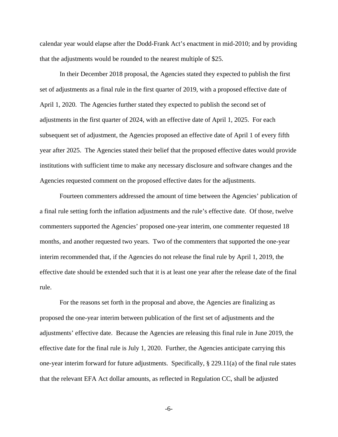calendar year would elapse after the Dodd-Frank Act's enactment in mid-2010; and by providing that the adjustments would be rounded to the nearest multiple of \$25.

In their December 2018 proposal, the Agencies stated they expected to publish the first set of adjustments as a final rule in the first quarter of 2019, with a proposed effective date of April 1, 2020. The Agencies further stated they expected to publish the second set of adjustments in the first quarter of 2024, with an effective date of April 1, 2025. For each subsequent set of adjustment, the Agencies proposed an effective date of April 1 of every fifth year after 2025. The Agencies stated their belief that the proposed effective dates would provide institutions with sufficient time to make any necessary disclosure and software changes and the Agencies requested comment on the proposed effective dates for the adjustments.

Fourteen commenters addressed the amount of time between the Agencies' publication of a final rule setting forth the inflation adjustments and the rule's effective date. Of those, twelve commenters supported the Agencies' proposed one-year interim, one commenter requested 18 months, and another requested two years. Two of the commenters that supported the one-year interim recommended that, if the Agencies do not release the final rule by April 1, 2019, the effective date should be extended such that it is at least one year after the release date of the final rule.

For the reasons set forth in the proposal and above, the Agencies are finalizing as proposed the one-year interim between publication of the first set of adjustments and the adjustments' effective date. Because the Agencies are releasing this final rule in June 2019, the effective date for the final rule is July 1, 2020. Further, the Agencies anticipate carrying this one-year interim forward for future adjustments. Specifically, § 229.11(a) of the final rule states that the relevant EFA Act dollar amounts, as reflected in Regulation CC, shall be adjusted

-6-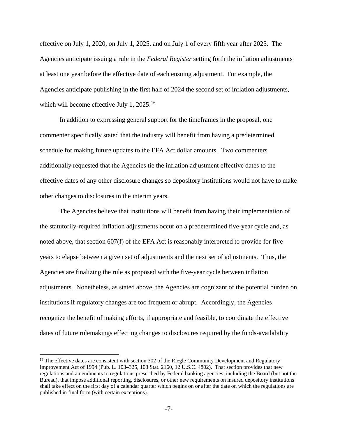effective on July 1, 2020, on July 1, 2025, and on July 1 of every fifth year after 2025. The Agencies anticipate issuing a rule in the *Federal Register* setting forth the inflation adjustments at least one year before the effective date of each ensuing adjustment. For example, the Agencies anticipate publishing in the first half of 2024 the second set of inflation adjustments, which will become effective July 1, 2025.<sup>[16](#page-6-0)</sup>

In addition to expressing general support for the timeframes in the proposal, one commenter specifically stated that the industry will benefit from having a predetermined schedule for making future updates to the EFA Act dollar amounts. Two commenters additionally requested that the Agencies tie the inflation adjustment effective dates to the effective dates of any other disclosure changes so depository institutions would not have to make other changes to disclosures in the interim years.

The Agencies believe that institutions will benefit from having their implementation of the statutorily-required inflation adjustments occur on a predetermined five-year cycle and, as noted above, that section 607(f) of the EFA Act is reasonably interpreted to provide for five years to elapse between a given set of adjustments and the next set of adjustments. Thus, the Agencies are finalizing the rule as proposed with the five-year cycle between inflation adjustments. Nonetheless, as stated above, the Agencies are cognizant of the potential burden on institutions if regulatory changes are too frequent or abrupt. Accordingly, the Agencies recognize the benefit of making efforts, if appropriate and feasible, to coordinate the effective dates of future rulemakings effecting changes to disclosures required by the funds-availability

<span id="page-6-0"></span><sup>&</sup>lt;sup>16</sup> The effective dates are consistent with section 302 of the Riegle Community Development and Regulatory Improvement Act of 1994 (Pub. L. 103–325, 108 Stat. 2160, 12 U.S.C. 4802). That section provides that new regulations and amendments to regulations prescribed by Federal banking agencies, including the Board (but not the Bureau), that impose additional reporting, disclosures, or other new requirements on insured depository institutions shall take effect on the first day of a calendar quarter which begins on or after the date on which the regulations are published in final form (with certain exceptions).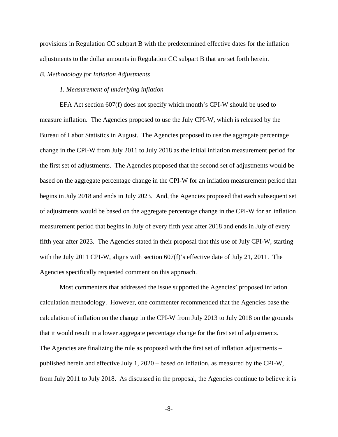provisions in Regulation CC subpart B with the predetermined effective dates for the inflation adjustments to the dollar amounts in Regulation CC subpart B that are set forth herein.

### *B. Methodology for Inflation Adjustments*

### *1. Measurement of underlying inflation*

EFA Act section 607(f) does not specify which month's CPI-W should be used to measure inflation. The Agencies proposed to use the July CPI-W, which is released by the Bureau of Labor Statistics in August. The Agencies proposed to use the aggregate percentage change in the CPI-W from July 2011 to July 2018 as the initial inflation measurement period for the first set of adjustments. The Agencies proposed that the second set of adjustments would be based on the aggregate percentage change in the CPI-W for an inflation measurement period that begins in July 2018 and ends in July 2023. And, the Agencies proposed that each subsequent set of adjustments would be based on the aggregate percentage change in the CPI-W for an inflation measurement period that begins in July of every fifth year after 2018 and ends in July of every fifth year after 2023. The Agencies stated in their proposal that this use of July CPI-W, starting with the July 2011 CPI-W, aligns with section 607(f)'s effective date of July 21, 2011. The Agencies specifically requested comment on this approach.

Most commenters that addressed the issue supported the Agencies' proposed inflation calculation methodology. However, one commenter recommended that the Agencies base the calculation of inflation on the change in the CPI-W from July 2013 to July 2018 on the grounds that it would result in a lower aggregate percentage change for the first set of adjustments. The Agencies are finalizing the rule as proposed with the first set of inflation adjustments – published herein and effective July 1, 2020 – based on inflation, as measured by the CPI-W, from July 2011 to July 2018. As discussed in the proposal, the Agencies continue to believe it is

-8-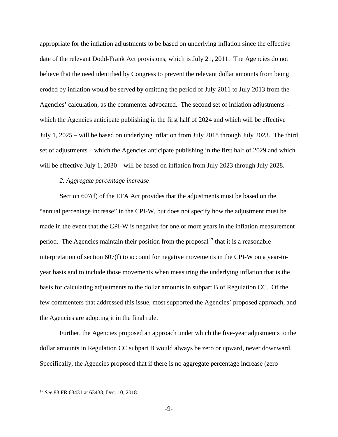appropriate for the inflation adjustments to be based on underlying inflation since the effective date of the relevant Dodd-Frank Act provisions, which is July 21, 2011. The Agencies do not believe that the need identified by Congress to prevent the relevant dollar amounts from being eroded by inflation would be served by omitting the period of July 2011 to July 2013 from the Agencies' calculation, as the commenter advocated. The second set of inflation adjustments – which the Agencies anticipate publishing in the first half of 2024 and which will be effective July 1, 2025 – will be based on underlying inflation from July 2018 through July 2023. The third set of adjustments – which the Agencies anticipate publishing in the first half of 2029 and which will be effective July 1, 2030 – will be based on inflation from July 2023 through July 2028.

### *2. Aggregate percentage increase*

Section 607(f) of the EFA Act provides that the adjustments must be based on the "annual percentage increase" in the CPI-W, but does not specify how the adjustment must be made in the event that the CPI-W is negative for one or more years in the inflation measurement period. The Agencies maintain their position from the proposal<sup>[17](#page-8-0)</sup> that it is a reasonable interpretation of section 607(f) to account for negative movements in the CPI-W on a year-toyear basis and to include those movements when measuring the underlying inflation that is the basis for calculating adjustments to the dollar amounts in subpart B of Regulation CC. Of the few commenters that addressed this issue, most supported the Agencies' proposed approach, and the Agencies are adopting it in the final rule.

Further, the Agencies proposed an approach under which the five-year adjustments to the dollar amounts in Regulation CC subpart B would always be zero or upward, never downward. Specifically, the Agencies proposed that if there is no aggregate percentage increase (zero

<span id="page-8-0"></span> <sup>17</sup> *See* 83 FR 63431 at 63433, Dec. 10, 2018.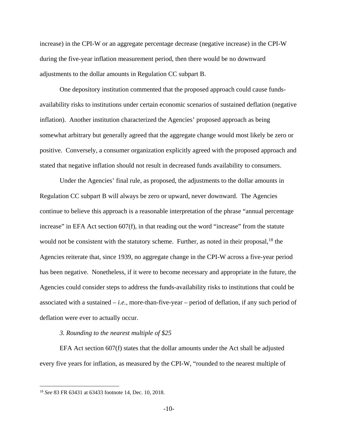increase) in the CPI-W or an aggregate percentage decrease (negative increase) in the CPI-W during the five-year inflation measurement period, then there would be no downward adjustments to the dollar amounts in Regulation CC subpart B.

One depository institution commented that the proposed approach could cause fundsavailability risks to institutions under certain economic scenarios of sustained deflation (negative inflation). Another institution characterized the Agencies' proposed approach as being somewhat arbitrary but generally agreed that the aggregate change would most likely be zero or positive. Conversely, a consumer organization explicitly agreed with the proposed approach and stated that negative inflation should not result in decreased funds availability to consumers.

Under the Agencies' final rule, as proposed, the adjustments to the dollar amounts in Regulation CC subpart B will always be zero or upward, never downward. The Agencies continue to believe this approach is a reasonable interpretation of the phrase "annual percentage increase" in EFA Act section 607(f), in that reading out the word "increase" from the statute would not be consistent with the statutory scheme. Further, as noted in their proposal,  $^{18}$  $^{18}$  $^{18}$  the Agencies reiterate that, since 1939, no aggregate change in the CPI-W across a five-year period has been negative. Nonetheless, if it were to become necessary and appropriate in the future, the Agencies could consider steps to address the funds-availability risks to institutions that could be associated with a sustained – *i.e.,* more-than-five-year – period of deflation, if any such period of deflation were ever to actually occur.

### *3. Rounding to the nearest multiple of \$25*

EFA Act section 607(f) states that the dollar amounts under the Act shall be adjusted every five years for inflation, as measured by the CPI-W, "rounded to the nearest multiple of

<span id="page-9-0"></span> <sup>18</sup> *See* 83 FR 63431 at 63433 footnote 14, Dec. 10, 2018.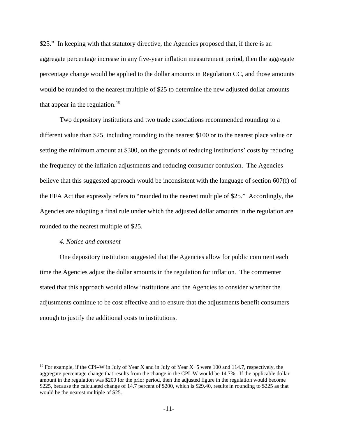\$25." In keeping with that statutory directive, the Agencies proposed that, if there is an aggregate percentage increase in any five-year inflation measurement period, then the aggregate percentage change would be applied to the dollar amounts in Regulation CC, and those amounts would be rounded to the nearest multiple of \$25 to determine the new adjusted dollar amounts that appear in the regulation.<sup>[19](#page-10-0)</sup>

Two depository institutions and two trade associations recommended rounding to a different value than \$25, including rounding to the nearest \$100 or to the nearest place value or setting the minimum amount at \$300, on the grounds of reducing institutions' costs by reducing the frequency of the inflation adjustments and reducing consumer confusion. The Agencies believe that this suggested approach would be inconsistent with the language of section 607(f) of the EFA Act that expressly refers to "rounded to the nearest multiple of \$25." Accordingly, the Agencies are adopting a final rule under which the adjusted dollar amounts in the regulation are rounded to the nearest multiple of \$25.

### *4. Notice and comment*

One depository institution suggested that the Agencies allow for public comment each time the Agencies adjust the dollar amounts in the regulation for inflation. The commenter stated that this approach would allow institutions and the Agencies to consider whether the adjustments continue to be cost effective and to ensure that the adjustments benefit consumers enough to justify the additional costs to institutions.

<span id="page-10-0"></span><sup>&</sup>lt;sup>19</sup> For example, if the CPI–W in July of Year X and in July of Year X+5 were 100 and 114.7, respectively, the aggregate percentage change that results from the change in the CPI–W would be 14.7%. If the applicable dollar amount in the regulation was \$200 for the prior period, then the adjusted figure in the regulation would become \$225, because the calculated change of 14.7 percent of \$200, which is \$29.40, results in rounding to \$225 as that would be the nearest multiple of \$25.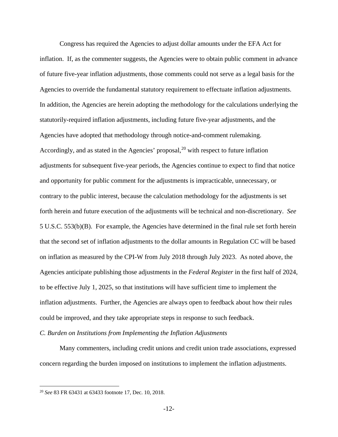Congress has required the Agencies to adjust dollar amounts under the EFA Act for inflation. If, as the commenter suggests, the Agencies were to obtain public comment in advance of future five-year inflation adjustments, those comments could not serve as a legal basis for the Agencies to override the fundamental statutory requirement to effectuate inflation adjustments. In addition, the Agencies are herein adopting the methodology for the calculations underlying the statutorily-required inflation adjustments, including future five-year adjustments, and the Agencies have adopted that methodology through notice-and-comment rulemaking. Accordingly, and as stated in the Agencies' proposal,<sup>[20](#page-11-0)</sup> with respect to future inflation adjustments for subsequent five-year periods, the Agencies continue to expect to find that notice and opportunity for public comment for the adjustments is impracticable, unnecessary, or contrary to the public interest, because the calculation methodology for the adjustments is set forth herein and future execution of the adjustments will be technical and non-discretionary. *See* 5 U.S.C. 553(b)(B). For example, the Agencies have determined in the final rule set forth herein that the second set of inflation adjustments to the dollar amounts in Regulation CC will be based on inflation as measured by the CPI-W from July 2018 through July 2023. As noted above, the Agencies anticipate publishing those adjustments in the *Federal Register* in the first half of 2024, to be effective July 1, 2025, so that institutions will have sufficient time to implement the inflation adjustments. Further, the Agencies are always open to feedback about how their rules could be improved, and they take appropriate steps in response to such feedback.

*C. Burden on Institutions from Implementing the Inflation Adjustments*

Many commenters, including credit unions and credit union trade associations, expressed concern regarding the burden imposed on institutions to implement the inflation adjustments.

<span id="page-11-0"></span> <sup>20</sup> *See* 83 FR 63431 at 63433 footnote 17, Dec. 10, 2018.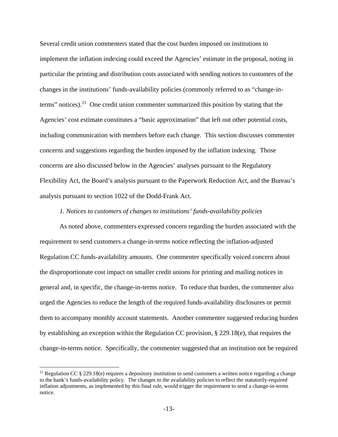Several credit union commenters stated that the cost burden imposed on institutions to implement the inflation indexing could exceed the Agencies' estimate in the proposal, noting in particular the printing and distribution costs associated with sending notices to customers of the changes in the institutions' funds-availability policies (commonly referred to as "change-interms" notices). [21](#page-12-0) One credit union commenter summarized this position by stating that the Agencies' cost estimate constitutes a "basic approximation" that left out other potential costs, including communication with members before each change. This section discusses commenter concerns and suggestions regarding the burden imposed by the inflation indexing. Those concerns are also discussed below in the Agencies' analyses pursuant to the Regulatory Flexibility Act, the Board's analysis pursuant to the Paperwork Reduction Act, and the Bureau's analysis pursuant to section 1022 of the Dodd-Frank Act.

### *1. Notices to customers of changes to institutions' funds-availability policies*

As noted above, commenters expressed concern regarding the burden associated with the requirement to send customers a change-in-terms notice reflecting the inflation-adjusted Regulation CC funds-availability amounts. One commenter specifically voiced concern about the disproportionate cost impact on smaller credit unions for printing and mailing notices in general and, in specific, the change-in-terms notice. To reduce that burden, the commenter also urged the Agencies to reduce the length of the required funds-availability disclosures or permit them to accompany monthly account statements. Another commenter suggested reducing burden by establishing an exception within the Regulation CC provision, § 229.18(e), that requires the change-in-terms notice. Specifically, the commenter suggested that an institution not be required

<span id="page-12-0"></span><sup>&</sup>lt;sup>21</sup> Regulation CC  $\S$  229.18(e) requires a depository institution to send customers a written notice regarding a change to the bank's funds-availability policy. The changes to the availability policies to reflect the statutorily-required inflation adjustments, as implemented by this final rule, would trigger the requirement to send a change-in-terms notice.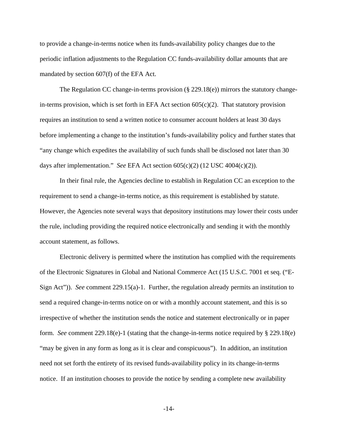to provide a change-in-terms notice when its funds-availability policy changes due to the periodic inflation adjustments to the Regulation CC funds-availability dollar amounts that are mandated by section 607(f) of the EFA Act.

The Regulation CC change-in-terms provision  $(\S 229.18(e))$  mirrors the statutory changein-terms provision, which is set forth in EFA Act section  $605(c)(2)$ . That statutory provision requires an institution to send a written notice to consumer account holders at least 30 days before implementing a change to the institution's funds-availability policy and further states that "any change which expedites the availability of such funds shall be disclosed not later than 30 days after implementation." *See* EFA Act section 605(c)(2) (12 USC 4004(c)(2)).

In their final rule, the Agencies decline to establish in Regulation CC an exception to the requirement to send a change-in-terms notice, as this requirement is established by statute. However, the Agencies note several ways that depository institutions may lower their costs under the rule, including providing the required notice electronically and sending it with the monthly account statement, as follows.

Electronic delivery is permitted where the institution has complied with the requirements of the Electronic Signatures in Global and National Commerce Act (15 U.S.C. 7001 et seq. ("E-Sign Act")). *See* comment 229.15(a)-1. Further, the regulation already permits an institution to send a required change-in-terms notice on or with a monthly account statement, and this is so irrespective of whether the institution sends the notice and statement electronically or in paper form. *See* comment 229.18(e)-1 (stating that the change-in-terms notice required by § 229.18(e) "may be given in any form as long as it is clear and conspicuous"). In addition, an institution need not set forth the entirety of its revised funds-availability policy in its change-in-terms notice. If an institution chooses to provide the notice by sending a complete new availability

-14-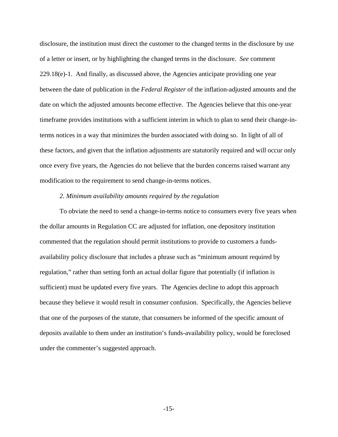disclosure, the institution must direct the customer to the changed terms in the disclosure by use of a letter or insert, or by highlighting the changed terms in the disclosure. *See* comment 229.18(e)-1. And finally, as discussed above, the Agencies anticipate providing one year between the date of publication in the *Federal Register* of the inflation-adjusted amounts and the date on which the adjusted amounts become effective. The Agencies believe that this one-year timeframe provides institutions with a sufficient interim in which to plan to send their change-interms notices in a way that minimizes the burden associated with doing so. In light of all of these factors, and given that the inflation adjustments are statutorily required and will occur only once every five years, the Agencies do not believe that the burden concerns raised warrant any modification to the requirement to send change-in-terms notices.

### *2. Minimum availability amounts required by the regulation*

To obviate the need to send a change-in-terms notice to consumers every five years when the dollar amounts in Regulation CC are adjusted for inflation, one depository institution commented that the regulation should permit institutions to provide to customers a fundsavailability policy disclosure that includes a phrase such as "minimum amount required by regulation," rather than setting forth an actual dollar figure that potentially (if inflation is sufficient) must be updated every five years. The Agencies decline to adopt this approach because they believe it would result in consumer confusion. Specifically, the Agencies believe that one of the purposes of the statute, that consumers be informed of the specific amount of deposits available to them under an institution's funds-availability policy, would be foreclosed under the commenter's suggested approach.

-15-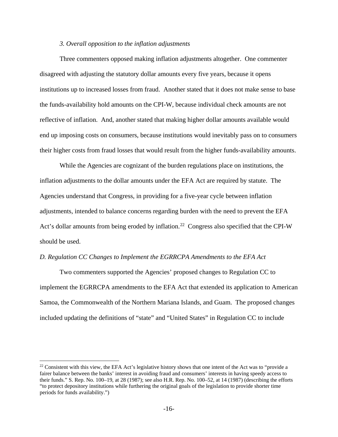### *3. Overall opposition to the inflation adjustments*

Three commenters opposed making inflation adjustments altogether. One commenter disagreed with adjusting the statutory dollar amounts every five years, because it opens institutions up to increased losses from fraud. Another stated that it does not make sense to base the funds-availability hold amounts on the CPI-W, because individual check amounts are not reflective of inflation. And, another stated that making higher dollar amounts available would end up imposing costs on consumers, because institutions would inevitably pass on to consumers their higher costs from fraud losses that would result from the higher funds-availability amounts.

While the Agencies are cognizant of the burden regulations place on institutions, the inflation adjustments to the dollar amounts under the EFA Act are required by statute. The Agencies understand that Congress, in providing for a five-year cycle between inflation adjustments, intended to balance concerns regarding burden with the need to prevent the EFA Act's dollar amounts from being eroded by inflation.<sup>22</sup> Congress also specified that the CPI-W should be used.

### *D. Regulation CC Changes to Implement the EGRRCPA Amendments to the EFA Act*

Two commenters supported the Agencies' proposed changes to Regulation CC to implement the EGRRCPA amendments to the EFA Act that extended its application to American Samoa, the Commonwealth of the Northern Mariana Islands, and Guam. The proposed changes included updating the definitions of "state" and "United States" in Regulation CC to include

<span id="page-15-0"></span> $22$  Consistent with this view, the EFA Act's legislative history shows that one intent of the Act was to "provide a fairer balance between the banks' interest in avoiding fraud and consumers' interests in having speedy access to their funds." S. Rep. No. 100–19, at 28 (1987); see also H.R. Rep. No. 100–52, at 14 (1987) (describing the efforts "to protect depository institutions while furthering the original goals of the legislation to provide shorter time periods for funds availability.")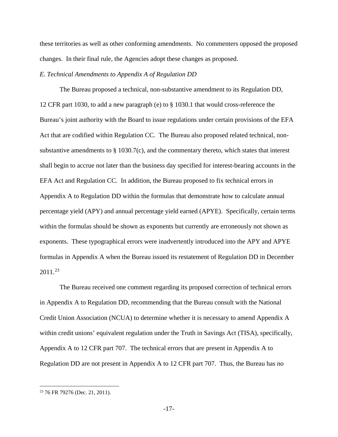these territories as well as other conforming amendments. No commenters opposed the proposed changes. In their final rule, the Agencies adopt these changes as proposed.

### *E. Technical Amendments to Appendix A of Regulation DD*

The Bureau proposed a technical, non-substantive amendment to its Regulation DD, 12 CFR part 1030, to add a new paragraph (e) to § 1030.1 that would cross-reference the Bureau's joint authority with the Board to issue regulations under certain provisions of the EFA Act that are codified within Regulation CC. The Bureau also proposed related technical, nonsubstantive amendments to  $\S$  1030.7(c), and the commentary thereto, which states that interest shall begin to accrue not later than the business day specified for interest-bearing accounts in the EFA Act and Regulation CC. In addition, the Bureau proposed to fix technical errors in Appendix A to Regulation DD within the formulas that demonstrate how to calculate annual percentage yield (APY) and annual percentage yield earned (APYE). Specifically, certain terms within the formulas should be shown as exponents but currently are erroneously not shown as exponents. These typographical errors were inadvertently introduced into the APY and APYE formulas in Appendix A when the Bureau issued its restatement of Regulation DD in December 2011.[23](#page-16-0)

The Bureau received one comment regarding its proposed correction of technical errors in Appendix A to Regulation DD, recommending that the Bureau consult with the National Credit Union Association (NCUA) to determine whether it is necessary to amend Appendix A within credit unions' equivalent regulation under the Truth in Savings Act (TISA), specifically, Appendix A to 12 CFR part 707. The technical errors that are present in Appendix A to Regulation DD are not present in Appendix A to 12 CFR part 707. Thus, the Bureau has no

<span id="page-16-0"></span> <sup>23</sup> 76 FR 79276 (Dec. 21, 2011).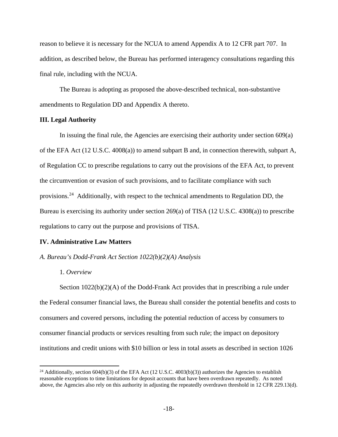reason to believe it is necessary for the NCUA to amend Appendix A to 12 CFR part 707. In addition, as described below, the Bureau has performed interagency consultations regarding this final rule, including with the NCUA.

The Bureau is adopting as proposed the above-described technical, non-substantive amendments to Regulation DD and Appendix A thereto.

### **III. Legal Authority**

In issuing the final rule, the Agencies are exercising their authority under section 609(a) of the EFA Act (12 U.S.C. 4008(a)) to amend subpart B and, in connection therewith, subpart A, of Regulation CC to prescribe regulations to carry out the provisions of the EFA Act, to prevent the circumvention or evasion of such provisions, and to facilitate compliance with such provisions.[24](#page-17-0) Additionally, with respect to the technical amendments to Regulation DD, the Bureau is exercising its authority under section 269(a) of TISA (12 U.S.C. 4308(a)) to prescribe regulations to carry out the purpose and provisions of TISA.

### **IV. Administrative Law Matters**

### *A. Bureau's Dodd-Frank Act Section 1022(b)(2)(A) Analysis*

1. *Overview*

Section 1022(b)(2)(A) of the Dodd-Frank Act provides that in prescribing a rule under the Federal consumer financial laws, the Bureau shall consider the potential benefits and costs to consumers and covered persons, including the potential reduction of access by consumers to consumer financial products or services resulting from such rule; the impact on depository institutions and credit unions with \$10 billion or less in total assets as described in section 1026

<span id="page-17-0"></span><sup>&</sup>lt;sup>24</sup> Additionally, section 604(b)(3) of the EFA Act (12 U.S.C. 4003(b)(3)) authorizes the Agencies to establish reasonable exceptions to time limitations for deposit accounts that have been overdrawn repeatedly. As noted above, the Agencies also rely on this authority in adjusting the repeatedly overdrawn threshold in 12 CFR 229.13(d).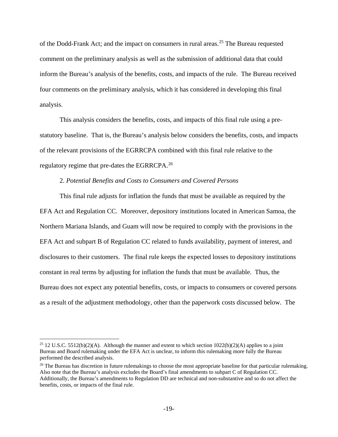of the Dodd-Frank Act; and the impact on consumers in rural areas.<sup>[25](#page-18-0)</sup> The Bureau requested comment on the preliminary analysis as well as the submission of additional data that could inform the Bureau's analysis of the benefits, costs, and impacts of the rule. The Bureau received four comments on the preliminary analysis, which it has considered in developing this final analysis.

This analysis considers the benefits, costs, and impacts of this final rule using a prestatutory baseline. That is, the Bureau's analysis below considers the benefits, costs, and impacts of the relevant provisions of the EGRRCPA combined with this final rule relative to the regulatory regime that pre-dates the EGRRCPA.[26](#page-18-1)

### 2. *Potential Benefits and Costs to Consumers and Covered Persons*

This final rule adjusts for inflation the funds that must be available as required by the EFA Act and Regulation CC. Moreover, depository institutions located in American Samoa, the Northern Mariana Islands, and Guam will now be required to comply with the provisions in the EFA Act and subpart B of Regulation CC related to funds availability, payment of interest, and disclosures to their customers. The final rule keeps the expected losses to depository institutions constant in real terms by adjusting for inflation the funds that must be available. Thus, the Bureau does not expect any potential benefits, costs, or impacts to consumers or covered persons as a result of the adjustment methodology, other than the paperwork costs discussed below. The

<span id="page-18-0"></span><sup>&</sup>lt;sup>25</sup> 12 U.S.C. 5512(b)(2)(A). Although the manner and extent to which section  $1022(b)(2)(A)$  applies to a joint Bureau and Board rulemaking under the EFA Act is unclear, to inform this rulemaking more fully the Bureau performed the described analysis.

<span id="page-18-1"></span><sup>&</sup>lt;sup>26</sup> The Bureau has discretion in future rulemakings to choose the most appropriate baseline for that particular rulemaking. Also note that the Bureau's analysis excludes the Board's final amendments to subpart C of Regulation CC. Additionally, the Bureau's amendments to Regulation DD are technical and non-substantive and so do not affect the benefits, costs, or impacts of the final rule.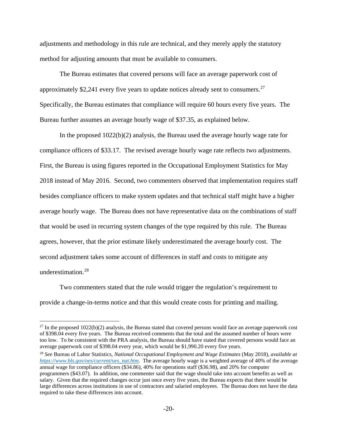adjustments and methodology in this rule are technical, and they merely apply the statutory method for adjusting amounts that must be available to consumers.

The Bureau estimates that covered persons will face an average paperwork cost of approximately \$2,241 every five years to update notices already sent to consumers.[27](#page-19-0) Specifically, the Bureau estimates that compliance will require 60 hours every five years. The Bureau further assumes an average hourly wage of \$37.35, as explained below.

In the proposed 1022(b)(2) analysis, the Bureau used the average hourly wage rate for compliance officers of \$33.17. The revised average hourly wage rate reflects two adjustments. First, the Bureau is using figures reported in the Occupational Employment Statistics for May 2018 instead of May 2016. Second, two commenters observed that implementation requires staff besides compliance officers to make system updates and that technical staff might have a higher average hourly wage. The Bureau does not have representative data on the combinations of staff that would be used in recurring system changes of the type required by this rule. The Bureau agrees, however, that the prior estimate likely underestimated the average hourly cost. The second adjustment takes some account of differences in staff and costs to mitigate any underestimation.[28](#page-19-1)

Two commenters stated that the rule would trigger the regulation's requirement to provide a change-in-terms notice and that this would create costs for printing and mailing.

<span id="page-19-0"></span> $27$  In the proposed  $1022(b)(2)$  analysis, the Bureau stated that covered persons would face an average paperwork cost of \$398.04 every five years. The Bureau received comments that the total and the assumed number of hours were too low. To be consistent with the PRA analysis, the Bureau should have stated that covered persons would face an average paperwork cost of \$398.04 every year, which would be \$1,990.20 every five years.

<span id="page-19-1"></span><sup>28</sup> *See* Bureau of Labor Statistics, *National Occupational Employment and Wage Estimates* (May 2018), *available at [https://www.bls.gov/oes/current/oes\\_nat.htm](https://www.bls.gov/oes/current/oes_nat.htm)*. The average hourly wage is a weighted average of 40% of the average annual wage for compliance officers (\$34.86), 40% for operations staff (\$36.98), and 20% for computer programmers (\$43.07). In addition, one commenter said that the wage should take into account benefits as well as salary. Given that the required changes occur just once every five years, the Bureau expects that there would be large differences across institutions in use of contractors and salaried employees. The Bureau does not have the data required to take these differences into account.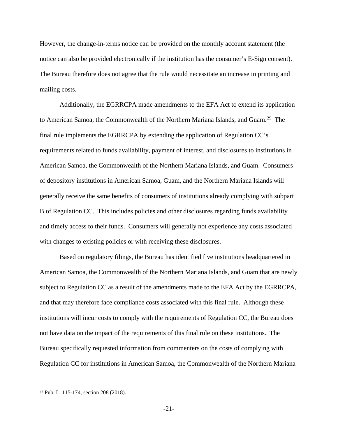However, the change-in-terms notice can be provided on the monthly account statement (the notice can also be provided electronically if the institution has the consumer's E-Sign consent). The Bureau therefore does not agree that the rule would necessitate an increase in printing and mailing costs.

Additionally, the EGRRCPA made amendments to the EFA Act to extend its application to American Samoa, the Commonwealth of the Northern Mariana Islands, and Guam.[29](#page-20-0) The final rule implements the EGRRCPA by extending the application of Regulation CC's requirements related to funds availability, payment of interest, and disclosures to institutions in American Samoa, the Commonwealth of the Northern Mariana Islands, and Guam. Consumers of depository institutions in American Samoa, Guam, and the Northern Mariana Islands will generally receive the same benefits of consumers of institutions already complying with subpart B of Regulation CC. This includes policies and other disclosures regarding funds availability and timely access to their funds. Consumers will generally not experience any costs associated with changes to existing policies or with receiving these disclosures.

Based on regulatory filings, the Bureau has identified five institutions headquartered in American Samoa, the Commonwealth of the Northern Mariana Islands, and Guam that are newly subject to Regulation CC as a result of the amendments made to the EFA Act by the EGRRCPA, and that may therefore face compliance costs associated with this final rule. Although these institutions will incur costs to comply with the requirements of Regulation CC, the Bureau does not have data on the impact of the requirements of this final rule on these institutions. The Bureau specifically requested information from commenters on the costs of complying with Regulation CC for institutions in American Samoa, the Commonwealth of the Northern Mariana

<span id="page-20-0"></span> <sup>29</sup> Pub. L. 115-174, section 208 (2018).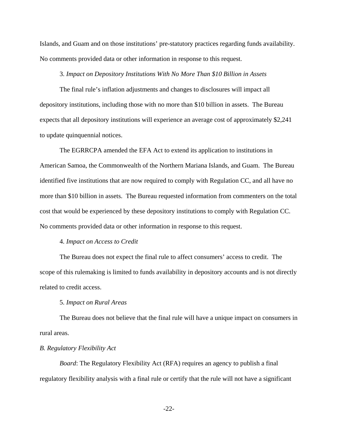Islands, and Guam and on those institutions' pre-statutory practices regarding funds availability. No comments provided data or other information in response to this request.

### 3. *Impact on Depository Institutions With No More Than \$10 Billion in Assets*

The final rule's inflation adjustments and changes to disclosures will impact all depository institutions, including those with no more than \$10 billion in assets. The Bureau expects that all depository institutions will experience an average cost of approximately \$2,241 to update quinquennial notices.

The EGRRCPA amended the EFA Act to extend its application to institutions in American Samoa, the Commonwealth of the Northern Mariana Islands, and Guam. The Bureau identified five institutions that are now required to comply with Regulation CC, and all have no more than \$10 billion in assets. The Bureau requested information from commenters on the total cost that would be experienced by these depository institutions to comply with Regulation CC. No comments provided data or other information in response to this request.

### 4. *Impact on Access to Credit*

The Bureau does not expect the final rule to affect consumers' access to credit. The scope of this rulemaking is limited to funds availability in depository accounts and is not directly related to credit access.

### 5. *Impact on Rural Areas*

The Bureau does not believe that the final rule will have a unique impact on consumers in rural areas.

### *B. Regulatory Flexibility Act*

*Board*: The Regulatory Flexibility Act (RFA) requires an agency to publish a final regulatory flexibility analysis with a final rule or certify that the rule will not have a significant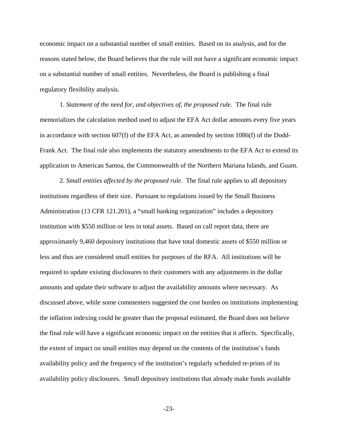economic impact on a substantial number of small entities. Based on its analysis, and for the reasons stated below, the Board believes that the rule will not have a significant economic impact on a substantial number of small entities. Nevertheless, the Board is publishing a final regulatory flexibility analysis.

1. *Statement of the need for, and objectives of, the proposed rule*. The final rule memorializes the calculation method used to adjust the EFA Act dollar amounts every five years in accordance with section 607(f) of the EFA Act, as amended by section 1086(f) of the Dodd-Frank Act. The final rule also implements the statutory amendments to the EFA Act to extend its application to American Samoa, the Commonwealth of the Northern Mariana Islands, and Guam.

2. *Small entities affected by the proposed rule*. The final rule applies to all depository institutions regardless of their size. Pursuant to regulations issued by the Small Business Administration (13 CFR 121.201), a "small banking organization" includes a depository institution with \$550 million or less in total assets. Based on call report data, there are approximately 9,460 depository institutions that have total domestic assets of \$550 million or less and thus are considered small entities for purposes of the RFA. All institutions will be required to update existing disclosures to their customers with any adjustments in the dollar amounts and update their software to adjust the availability amounts where necessary. As discussed above, while some commenters suggested the cost burden on institutions implementing the inflation indexing could be greater than the proposal estimated, the Board does not believe the final rule will have a significant economic impact on the entities that it affects. Specifically, the extent of impact on small entities may depend on the contents of the institution's funds availability policy and the frequency of the institution's regularly scheduled re-prints of its availability policy disclosures. Small depository institutions that already make funds available

-23-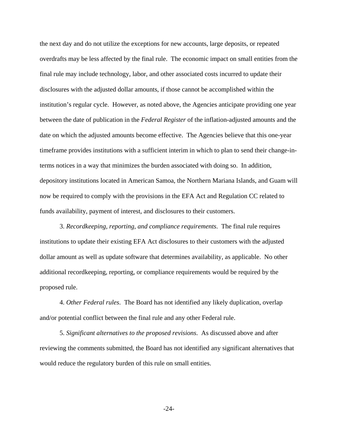the next day and do not utilize the exceptions for new accounts, large deposits, or repeated overdrafts may be less affected by the final rule. The economic impact on small entities from the final rule may include technology, labor, and other associated costs incurred to update their disclosures with the adjusted dollar amounts, if those cannot be accomplished within the institution's regular cycle. However, as noted above, the Agencies anticipate providing one year between the date of publication in the *Federal Register* of the inflation-adjusted amounts and the date on which the adjusted amounts become effective. The Agencies believe that this one-year timeframe provides institutions with a sufficient interim in which to plan to send their change-interms notices in a way that minimizes the burden associated with doing so. In addition, depository institutions located in American Samoa, the Northern Mariana Islands, and Guam will now be required to comply with the provisions in the EFA Act and Regulation CC related to funds availability, payment of interest, and disclosures to their customers.

3. *Recordkeeping, reporting, and compliance requirements*. The final rule requires institutions to update their existing EFA Act disclosures to their customers with the adjusted dollar amount as well as update software that determines availability, as applicable. No other additional recordkeeping, reporting, or compliance requirements would be required by the proposed rule.

4. *Other Federal rules*. The Board has not identified any likely duplication, overlap and/or potential conflict between the final rule and any other Federal rule.

5. *Significant alternatives to the proposed revisions*. As discussed above and after reviewing the comments submitted, the Board has not identified any significant alternatives that would reduce the regulatory burden of this rule on small entities.

-24-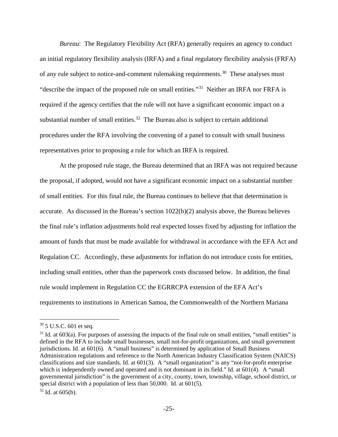*Bureau*: The Regulatory Flexibility Act (RFA) generally requires an agency to conduct an initial regulatory flexibility analysis (IRFA) and a final regulatory flexibility analysis (FRFA) of any rule subject to notice-and-comment rulemaking requirements.<sup>[30](#page-24-0)</sup> These analyses must "describe the impact of the proposed rule on small entities."[31](#page-24-1) Neither an IRFA nor FRFA is required if the agency certifies that the rule will not have a significant economic impact on a substantial number of small entities.<sup>[32](#page-24-2)</sup> The Bureau also is subject to certain additional procedures under the RFA involving the convening of a panel to consult with small business representatives prior to proposing a rule for which an IRFA is required.

At the proposed rule stage, the Bureau determined that an IRFA was not required because the proposal, if adopted, would not have a significant economic impact on a substantial number of small entities. For this final rule, the Bureau continues to believe that that determination is accurate. As discussed in the Bureau's section 1022(b)(2) analysis above, the Bureau believes the final rule's inflation adjustments hold real expected losses fixed by adjusting for inflation the amount of funds that must be made available for withdrawal in accordance with the EFA Act and Regulation CC. Accordingly, these adjustments for inflation do not introduce costs for entities, including small entities, other than the paperwork costs discussed below. In addition, the final rule would implement in Regulation CC the EGRRCPA extension of the EFA Act's requirements to institutions in American Samoa, the Commonwealth of the Northern Mariana

<span id="page-24-0"></span> $30\,$  5 U.S.C. 601 et seq.

<span id="page-24-1"></span> $31$  Id. at 603(a). For purposes of assessing the impacts of the final rule on small entities, "small entities" is defined in the RFA to include small businesses, small not-for-profit organizations, and small government jurisdictions. Id. at 601(6). A "small business" is determined by application of Small Business Administration regulations and reference to the North American Industry Classification System (NAICS) classifications and size standards. Id. at 601(3). A "small organization" is any "not-for-profit enterprise which is independently owned and operated and is not dominant in its field." Id. at 601(4). A "small governmental jurisdiction" is the government of a city, county, town, township, village, school district, or special district with a population of less than 50,000. Id. at 601(5).

<span id="page-24-2"></span> $32$  Id. at 605(b).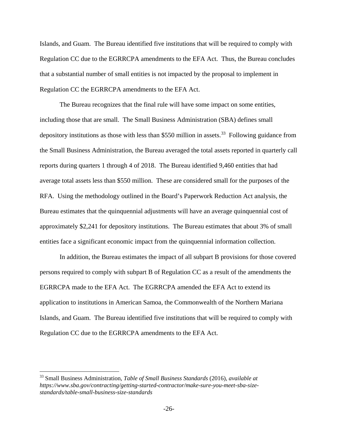Islands, and Guam. The Bureau identified five institutions that will be required to comply with Regulation CC due to the EGRRCPA amendments to the EFA Act. Thus, the Bureau concludes that a substantial number of small entities is not impacted by the proposal to implement in Regulation CC the EGRRCPA amendments to the EFA Act.

The Bureau recognizes that the final rule will have some impact on some entities, including those that are small. The Small Business Administration (SBA) defines small depository institutions as those with less than \$550 million in assets.<sup>33</sup> Following guidance from the Small Business Administration, the Bureau averaged the total assets reported in quarterly call reports during quarters 1 through 4 of 2018. The Bureau identified 9,460 entities that had average total assets less than \$550 million. These are considered small for the purposes of the RFA. Using the methodology outlined in the Board's Paperwork Reduction Act analysis, the Bureau estimates that the quinquennial adjustments will have an average quinquennial cost of approximately \$2,241 for depository institutions. The Bureau estimates that about 3% of small entities face a significant economic impact from the quinquennial information collection.

In addition, the Bureau estimates the impact of all subpart B provisions for those covered persons required to comply with subpart B of Regulation CC as a result of the amendments the EGRRCPA made to the EFA Act. The EGRRCPA amended the EFA Act to extend its application to institutions in American Samoa, the Commonwealth of the Northern Mariana Islands, and Guam. The Bureau identified five institutions that will be required to comply with Regulation CC due to the EGRRCPA amendments to the EFA Act.

<span id="page-25-0"></span> <sup>33</sup> Small Business Administration, *Table of Small Business Standards* (2016), *available at https://www.sba.gov/contracting/getting-started-contractor/make-sure-you-meet-sba-sizestandards/table-small-business-size-standards*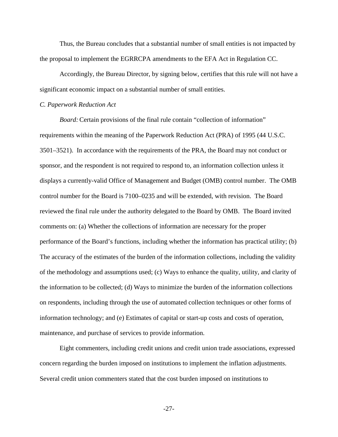Thus, the Bureau concludes that a substantial number of small entities is not impacted by the proposal to implement the EGRRCPA amendments to the EFA Act in Regulation CC.

Accordingly, the Bureau Director, by signing below, certifies that this rule will not have a significant economic impact on a substantial number of small entities.

### *C. Paperwork Reduction Act*

*Board:* Certain provisions of the final rule contain "collection of information" requirements within the meaning of the Paperwork Reduction Act (PRA) of 1995 (44 U.S.C. 3501–3521). In accordance with the requirements of the PRA, the Board may not conduct or sponsor, and the respondent is not required to respond to, an information collection unless it displays a currently-valid Office of Management and Budget (OMB) control number. The OMB control number for the Board is 7100–0235 and will be extended, with revision. The Board reviewed the final rule under the authority delegated to the Board by OMB. The Board invited comments on: (a) Whether the collections of information are necessary for the proper performance of the Board's functions, including whether the information has practical utility; (b) The accuracy of the estimates of the burden of the information collections, including the validity of the methodology and assumptions used; (c) Ways to enhance the quality, utility, and clarity of the information to be collected; (d) Ways to minimize the burden of the information collections on respondents, including through the use of automated collection techniques or other forms of information technology; and (e) Estimates of capital or start-up costs and costs of operation, maintenance, and purchase of services to provide information.

Eight commenters, including credit unions and credit union trade associations, expressed concern regarding the burden imposed on institutions to implement the inflation adjustments. Several credit union commenters stated that the cost burden imposed on institutions to

-27-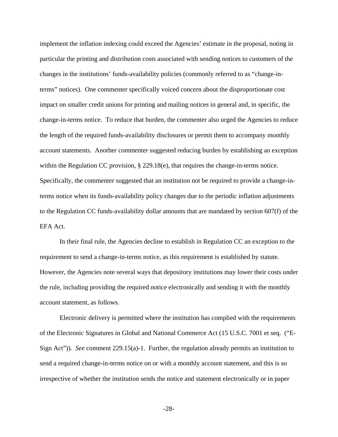implement the inflation indexing could exceed the Agencies' estimate in the proposal, noting in particular the printing and distribution costs associated with sending notices to customers of the changes in the institutions' funds-availability policies (commonly referred to as "change-interms" notices). One commenter specifically voiced concern about the disproportionate cost impact on smaller credit unions for printing and mailing notices in general and, in specific, the change-in-terms notice. To reduce that burden, the commenter also urged the Agencies to reduce the length of the required funds-availability disclosures or permit them to accompany monthly account statements. Another commenter suggested reducing burden by establishing an exception within the Regulation CC provision,  $\S 229.18(e)$ , that requires the change-in-terms notice. Specifically, the commenter suggested that an institution not be required to provide a change-interms notice when its funds-availability policy changes due to the periodic inflation adjustments to the Regulation CC funds-availability dollar amounts that are mandated by section 607(f) of the EFA Act.

In their final rule, the Agencies decline to establish in Regulation CC an exception to the requirement to send a change-in-terms notice, as this requirement is established by statute. However, the Agencies note several ways that depository institutions may lower their costs under the rule, including providing the required notice electronically and sending it with the monthly account statement, as follows.

Electronic delivery is permitted where the institution has complied with the requirements of the Electronic Signatures in Global and National Commerce Act (15 U.S.C. 7001 et seq. ("E-Sign Act")). *See* comment 229.15(a)-1. Further, the regulation already permits an institution to send a required change-in-terms notice on or with a monthly account statement, and this is so irrespective of whether the institution sends the notice and statement electronically or in paper

-28-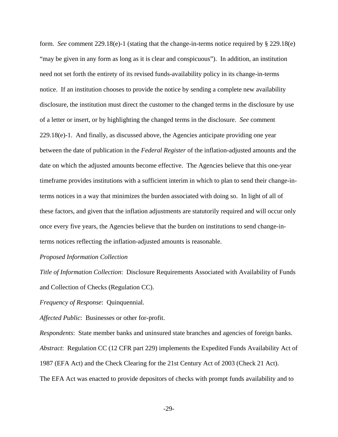form. *See* comment 229.18(e)-1 (stating that the change-in-terms notice required by § 229.18(e) "may be given in any form as long as it is clear and conspicuous"). In addition, an institution need not set forth the entirety of its revised funds-availability policy in its change-in-terms notice. If an institution chooses to provide the notice by sending a complete new availability disclosure, the institution must direct the customer to the changed terms in the disclosure by use of a letter or insert, or by highlighting the changed terms in the disclosure. *See* comment 229.18(e)-1. And finally, as discussed above, the Agencies anticipate providing one year between the date of publication in the *Federal Register* of the inflation-adjusted amounts and the date on which the adjusted amounts become effective. The Agencies believe that this one-year timeframe provides institutions with a sufficient interim in which to plan to send their change-interms notices in a way that minimizes the burden associated with doing so. In light of all of these factors, and given that the inflation adjustments are statutorily required and will occur only once every five years, the Agencies believe that the burden on institutions to send change-interms notices reflecting the inflation-adjusted amounts is reasonable.

### *Proposed Information Collection*

*Title of Information Collection*: Disclosure Requirements Associated with Availability of Funds and Collection of Checks (Regulation CC).

*Frequency of Response*: Quinquennial.

*Affected Public*: Businesses or other for-profit.

*Respondents*: State member banks and uninsured state branches and agencies of foreign banks. *Abstract*: Regulation CC (12 CFR part 229) implements the Expedited Funds Availability Act of 1987 (EFA Act) and the Check Clearing for the 21st Century Act of 2003 (Check 21 Act). The EFA Act was enacted to provide depositors of checks with prompt funds availability and to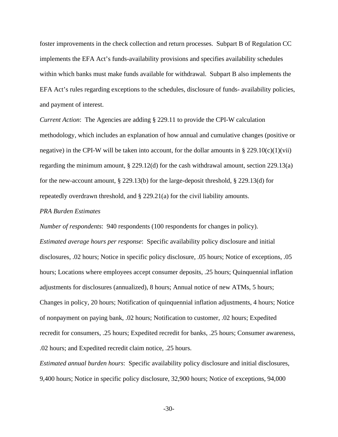foster improvements in the check collection and return processes. Subpart B of Regulation CC implements the EFA Act's funds-availability provisions and specifies availability schedules within which banks must make funds available for withdrawal. Subpart B also implements the EFA Act's rules regarding exceptions to the schedules, disclosure of funds- availability policies, and payment of interest.

*Current Action*: The Agencies are adding § 229.11 to provide the CPI-W calculation methodology, which includes an explanation of how annual and cumulative changes (positive or negative) in the CPI-W will be taken into account, for the dollar amounts in § 229.10(c)(1)(vii) regarding the minimum amount, § 229.12(d) for the cash withdrawal amount, section 229.13(a) for the new-account amount, § 229.13(b) for the large-deposit threshold, § 229.13(d) for repeatedly overdrawn threshold, and § 229.21(a) for the civil liability amounts.

### *PRA Burden Estimates*

*Number of respondents*: 940 respondents (100 respondents for changes in policy). *Estimated average hours per response*: Specific availability policy disclosure and initial disclosures, .02 hours; Notice in specific policy disclosure, .05 hours; Notice of exceptions, .05 hours; Locations where employees accept consumer deposits, .25 hours; Quinquennial inflation adjustments for disclosures (annualized), 8 hours; Annual notice of new ATMs, 5 hours; Changes in policy, 20 hours; Notification of quinquennial inflation adjustments, 4 hours; Notice of nonpayment on paying bank, .02 hours; Notification to customer, .02 hours; Expedited recredit for consumers, .25 hours; Expedited recredit for banks, .25 hours; Consumer awareness, .02 hours; and Expedited recredit claim notice, .25 hours.

*Estimated annual burden hours*: Specific availability policy disclosure and initial disclosures, 9,400 hours; Notice in specific policy disclosure, 32,900 hours; Notice of exceptions, 94,000

-30-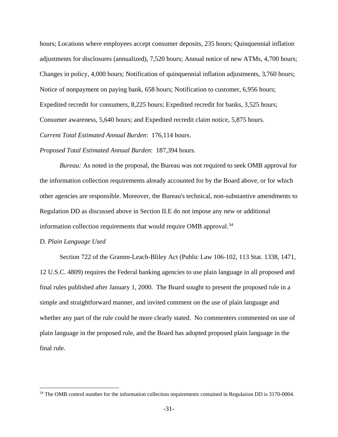hours; Locations where employees accept consumer deposits, 235 hours; Quinquennial inflation adjustments for disclosures (annualized), 7,520 hours; Annual notice of new ATMs, 4,700 hours; Changes in policy, 4,000 hours; Notification of quinquennial inflation adjustments, 3,760 hours; Notice of nonpayment on paying bank, 658 hours; Notification to customer, 6,956 hours; Expedited recredit for consumers, 8,225 hours; Expedited recredit for banks, 3,525 hours; Consumer awareness, 5,640 hours; and Expedited recredit claim notice, 5,875 hours.

*Current Total Estimated Annual Burden*: 176,114 hours.

*Proposed Total Estimated Annual Burden*: 187,394 hours.

*Bureau:* As noted in the proposal, the Bureau was not required to seek OMB approval for the information collection requirements already accounted for by the Board above, or for which other agencies are responsible. Moreover, the Bureau's technical, non-substantive amendments to Regulation DD as discussed above in Section II.E do not impose any new or additional information collection requirements that would require OMB approval. $34$ 

### *D. Plain Language Used*

Section 722 of the Gramm-Leach-Bliley Act (Public Law 106-102, 113 Stat. 1338, 1471, 12 U.S.C. 4809) requires the Federal banking agencies to use plain language in all proposed and final rules published after January 1, 2000. The Board sought to present the proposed rule in a simple and straightforward manner, and invited comment on the use of plain language and whether any part of the rule could be more clearly stated. No commenters commented on use of plain language in the proposed rule, and the Board has adopted proposed plain language in the final rule.

<span id="page-30-0"></span><sup>&</sup>lt;sup>34</sup> The OMB control number for the information collection requirements contained in Regulation DD is 3170-0004.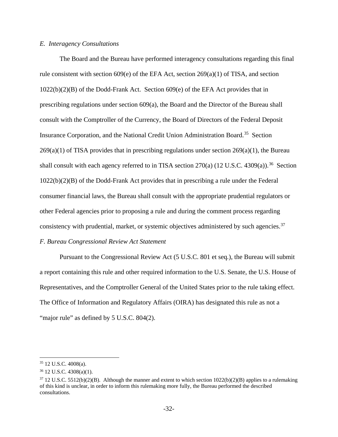### *E. Interagency Consultations*

The Board and the Bureau have performed interagency consultations regarding this final rule consistent with section 609(e) of the EFA Act, section 269(a)(1) of TISA, and section 1022(b)(2)(B) of the Dodd-Frank Act. Section 609(e) of the EFA Act provides that in prescribing regulations under section 609(a), the Board and the Director of the Bureau shall consult with the Comptroller of the Currency, the Board of Directors of the Federal Deposit Insurance Corporation, and the National Credit Union Administration Board.[35](#page-31-0) Section  $269(a)(1)$  of TISA provides that in prescribing regulations under section  $269(a)(1)$ , the Bureau shall consult with each agency referred to in TISA section 270(a) (12 U.S.C. 4309(a)).<sup>[36](#page-31-1)</sup> Section 1022(b)(2)(B) of the Dodd-Frank Act provides that in prescribing a rule under the Federal consumer financial laws, the Bureau shall consult with the appropriate prudential regulators or other Federal agencies prior to proposing a rule and during the comment process regarding consistency with prudential, market, or systemic objectives administered by such agencies.<sup>[37](#page-31-2)</sup>

### *F. Bureau Congressional Review Act Statement*

Pursuant to the Congressional Review Act (5 U.S.C. 801 et seq*.*), the Bureau will submit a report containing this rule and other required information to the U.S. Senate, the U.S. House of Representatives, and the Comptroller General of the United States prior to the rule taking effect. The Office of Information and Regulatory Affairs (OIRA) has designated this rule as not a "major rule" as defined by 5 U.S.C. 804(2).

<span id="page-31-0"></span> <sup>35</sup> 12 U.S.C. 4008(a).

<span id="page-31-1"></span><sup>36</sup> 12 U.S.C. 4308(a)(1).

<span id="page-31-2"></span> $37$  12 U.S.C. 5512(b)(2)(B). Although the manner and extent to which section 1022(b)(2)(B) applies to a rulemaking of this kind is unclear, in order to inform this rulemaking more fully, the Bureau performed the described consultations.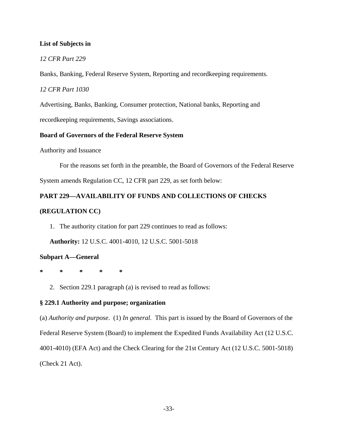### **List of Subjects in**

### *12 CFR Part 229*

Banks, Banking, Federal Reserve System, Reporting and recordkeeping requirements.

*12 CFR Part 1030*

Advertising, Banks, Banking, Consumer protection, National banks, Reporting and

recordkeeping requirements, Savings associations.

### **Board of Governors of the Federal Reserve System**

Authority and Issuance

For the reasons set forth in the preamble, the Board of Governors of the Federal Reserve

System amends Regulation CC, 12 CFR part 229, as set forth below:

### **PART 229—AVAILABILITY OF FUNDS AND COLLECTIONS OF CHECKS**

### **(REGULATION CC)**

1. The authority citation for part 229 continues to read as follows:

**Authority:** 12 U.S.C. 4001-4010, 12 U.S.C. 5001-5018

### **Subpart A—General**

**\* \* \* \* \***

2. Section 229.1 paragraph (a) is revised to read as follows:

### **§ 229.1 Authority and purpose; organization**

(a) *Authority and purpose*. (1) *In general.* This part is issued by the Board of Governors of the Federal Reserve System (Board) to implement the Expedited Funds Availability Act (12 U.S.C. 4001-4010) (EFA Act) and the Check Clearing for the 21st Century Act (12 U.S.C. 5001-5018) (Check 21 Act).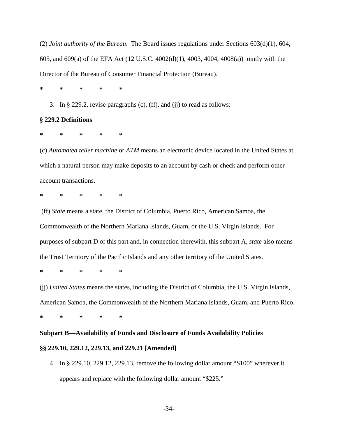(2) *Joint authority of the Bureau*. The Board issues regulations under Sections 603(d)(1), 604, 605, and 609(a) of the EFA Act (12 U.S.C. 4002(d)(1), 4003, 4004, 4008(a)) jointly with the Director of the Bureau of Consumer Financial Protection (Bureau).

**\* \* \* \* \***

3. In § 229.2, revise paragraphs (c), (ff), and (jj) to read as follows:

### **§ 229.2 Definitions**

**\* \* \* \* \***

(c) *Automated teller machine* or *ATM* means an electronic device located in the United States at which a natural person may make deposits to an account by cash or check and perform other account transactions.

**\* \* \* \* \***

(ff) *State* means a state, the District of Columbia, Puerto Rico, American Samoa, the Commonwealth of the Northern Mariana Islands, Guam, or the U.S. Virgin Islands. For purposes of subpart D of this part and, in connection therewith, this subpart A, *state* also means the Trust Territory of the Pacific Islands and any other territory of the United States.

**\* \* \* \* \***

(jj) *United States* means the states, including the District of Columbia, the U.S. Virgin Islands, American Samoa, the Commonwealth of the Northern Mariana Islands, Guam, and Puerto Rico.

**\* \* \* \* \***

# **Subpart B—Availability of Funds and Disclosure of Funds Availability Policies**

### **§§ 229.10, 229.12, 229.13, and 229.21 [Amended]**

4. In § 229.10, 229.12, 229.13, remove the following dollar amount "\$100" wherever it appears and replace with the following dollar amount "\$225."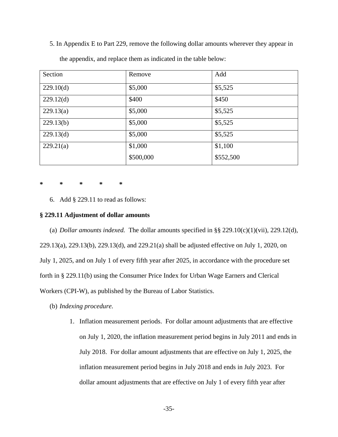5. In Appendix E to Part 229, remove the following dollar amounts wherever they appear in

| Section   | Remove    | Add       |
|-----------|-----------|-----------|
| 229.10(d) | \$5,000   | \$5,525   |
| 229.12(d) | \$400     | \$450     |
| 229.13(a) | \$5,000   | \$5,525   |
| 229.13(b) | \$5,000   | \$5,525   |
| 229.13(d) | \$5,000   | \$5,525   |
| 229.21(a) | \$1,000   | \$1,100   |
|           | \$500,000 | \$552,500 |

the appendix, and replace them as indicated in the table below:

**\* \* \* \* \***

6. Add § 229.11 to read as follows:

### **§ 229.11 Adjustment of dollar amounts**

(a) *Dollar amounts indexed.* The dollar amounts specified in §§ 229.10(c)(1)(vii), 229.12(d), 229.13(a), 229.13(b), 229.13(d), and 229.21(a) shall be adjusted effective on July 1, 2020, on July 1, 2025, and on July 1 of every fifth year after 2025, in accordance with the procedure set forth in § 229.11(b) using the Consumer Price Index for Urban Wage Earners and Clerical Workers (CPI-W), as published by the Bureau of Labor Statistics.

- (b) *Indexing procedure.* 
	- 1. Inflation measurement periods. For dollar amount adjustments that are effective on July 1, 2020, the inflation measurement period begins in July 2011 and ends in July 2018. For dollar amount adjustments that are effective on July 1, 2025, the inflation measurement period begins in July 2018 and ends in July 2023. For dollar amount adjustments that are effective on July 1 of every fifth year after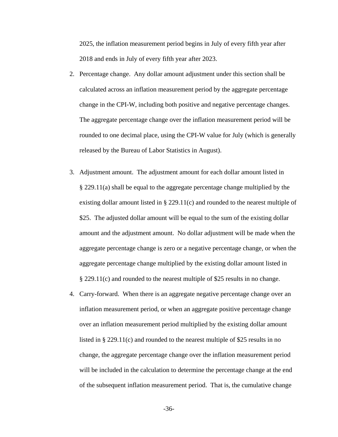2025, the inflation measurement period begins in July of every fifth year after 2018 and ends in July of every fifth year after 2023.

- 2. Percentage change. Any dollar amount adjustment under this section shall be calculated across an inflation measurement period by the aggregate percentage change in the CPI-W, including both positive and negative percentage changes. The aggregate percentage change over the inflation measurement period will be rounded to one decimal place, using the CPI-W value for July (which is generally released by the Bureau of Labor Statistics in August).
- 3. Adjustment amount. The adjustment amount for each dollar amount listed in § 229.11(a) shall be equal to the aggregate percentage change multiplied by the existing dollar amount listed in § 229.11(c) and rounded to the nearest multiple of \$25. The adjusted dollar amount will be equal to the sum of the existing dollar amount and the adjustment amount. No dollar adjustment will be made when the aggregate percentage change is zero or a negative percentage change, or when the aggregate percentage change multiplied by the existing dollar amount listed in § 229.11(c) and rounded to the nearest multiple of \$25 results in no change.
- 4. Carry-forward. When there is an aggregate negative percentage change over an inflation measurement period, or when an aggregate positive percentage change over an inflation measurement period multiplied by the existing dollar amount listed in § 229.11(c) and rounded to the nearest multiple of \$25 results in no change, the aggregate percentage change over the inflation measurement period will be included in the calculation to determine the percentage change at the end of the subsequent inflation measurement period. That is, the cumulative change

-36-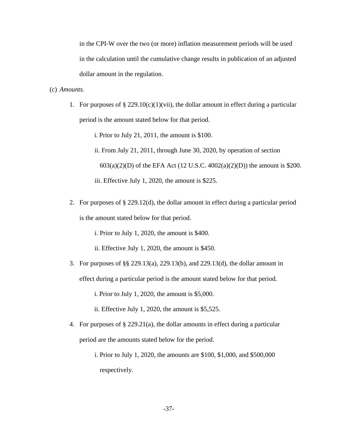in the CPI-W over the two (or more) inflation measurement periods will be used in the calculation until the cumulative change results in publication of an adjusted dollar amount in the regulation.

### (c) *Amounts.*

1. For purposes of  $\S 229.10(c)(1)(vii)$ , the dollar amount in effect during a particular period is the amount stated below for that period.

i. Prior to July 21, 2011, the amount is \$100. ii. From July 21, 2011, through June 30, 2020, by operation of section 603(a)(2)(D) of the EFA Act (12 U.S.C. 4002(a)(2)(D)) the amount is \$200. iii. Effective July 1, 2020, the amount is \$225.

2. For purposes of § 229.12(d), the dollar amount in effect during a particular period is the amount stated below for that period.

i. Prior to July 1, 2020, the amount is \$400.

ii. Effective July 1, 2020, the amount is \$450.

3. For purposes of §§ 229.13(a), 229.13(b), and 229.13(d), the dollar amount in effect during a particular period is the amount stated below for that period.

i. Prior to July 1, 2020, the amount is \$5,000.

ii. Effective July 1, 2020, the amount is \$5,525.

- 4. For purposes of § 229.21(a), the dollar amounts in effect during a particular period are the amounts stated below for the period.
	- i. Prior to July 1, 2020, the amounts are \$100, \$1,000, and \$500,000 respectively.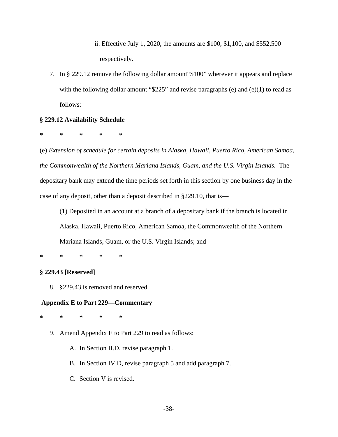ii. Effective July 1, 2020, the amounts are \$100, \$1,100, and \$552,500 respectively.

7. In § 229.12 remove the following dollar amount"\$100" wherever it appears and replace with the following dollar amount "\$225" and revise paragraphs (e) and (e)(1) to read as follows:

### **§ 229.12 Availability Schedule**

**\* \* \* \* \***

(e) *Extension of schedule for certain deposits in Alaska, Hawaii, Puerto Rico, American Samoa, the Commonwealth of the Northern Mariana Islands, Guam, and the U.S. Virgin Islands.* The depositary bank may extend the time periods set forth in this section by one business day in the case of any deposit, other than a deposit described in §229.10, that is—

(1) Deposited in an account at a branch of a depositary bank if the branch is located in Alaska, Hawaii, Puerto Rico, American Samoa, the Commonwealth of the Northern Mariana Islands, Guam, or the U.S. Virgin Islands; and

### **\* \* \* \* \***

### **§ 229.43 [Reserved]**

8. §229.43 is removed and reserved.

### **Appendix E to Part 229—Commentary**

**\* \* \* \* \***

- 9. Amend Appendix E to Part 229 to read as follows:
	- A. In Section II.D, revise paragraph 1.
	- B. In Section IV.D, revise paragraph 5 and add paragraph 7.
	- C. Section V is revised.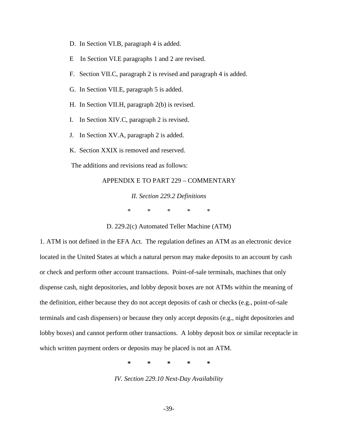- D. In Section VI.B, paragraph 4 is added.
- E In Section VI.E paragraphs 1 and 2 are revised.
- F. Section VII.C, paragraph 2 is revised and paragraph 4 is added.
- G. In Section VII.E, paragraph 5 is added.
- H. In Section VII.H, paragraph 2(b) is revised.
- I. In Section XIV.C, paragraph 2 is revised.
- J. In Section XV.A, paragraph 2 is added.
- K. Section XXIX is removed and reserved.

The additions and revisions read as follows:

### APPENDIX E TO PART 229 – COMMENTARY

*II. Section 229.2 Definitions* \* \* \* \* \*

D. 229.2(c) Automated Teller Machine (ATM)

1. ATM is not defined in the EFA Act. The regulation defines an ATM as an electronic device located in the United States at which a natural person may make deposits to an account by cash or check and perform other account transactions. Point-of-sale terminals, machines that only dispense cash, night depositories, and lobby deposit boxes are not ATMs within the meaning of the definition, either because they do not accept deposits of cash or checks (e.g., point-of-sale terminals and cash dispensers) or because they only accept deposits (e.g., night depositories and lobby boxes) and cannot perform other transactions. A lobby deposit box or similar receptacle in which written payment orders or deposits may be placed is not an ATM.

**\* \* \* \* \***

*IV. Section 229.10 Next-Day Availability*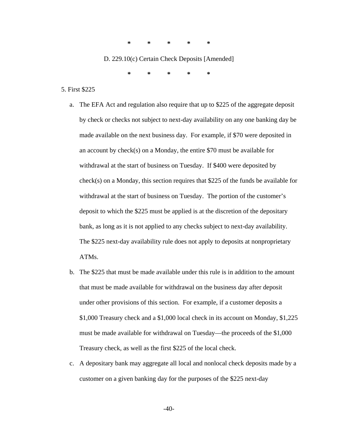**\* \* \* \* \***

D. 229.10(c) Certain Check Deposits [Amended]

**\* \* \* \* \***

- 5. First \$225
	- a. The EFA Act and regulation also require that up to \$225 of the aggregate deposit by check or checks not subject to next-day availability on any one banking day be made available on the next business day. For example, if \$70 were deposited in an account by check(s) on a Monday, the entire \$70 must be available for withdrawal at the start of business on Tuesday. If \$400 were deposited by check(s) on a Monday, this section requires that \$225 of the funds be available for withdrawal at the start of business on Tuesday. The portion of the customer's deposit to which the \$225 must be applied is at the discretion of the depositary bank, as long as it is not applied to any checks subject to next-day availability. The \$225 next-day availability rule does not apply to deposits at nonproprietary ATMs.
	- b. The \$225 that must be made available under this rule is in addition to the amount that must be made available for withdrawal on the business day after deposit under other provisions of this section. For example, if a customer deposits a \$1,000 Treasury check and a \$1,000 local check in its account on Monday, \$1,225 must be made available for withdrawal on Tuesday—the proceeds of the \$1,000 Treasury check, as well as the first \$225 of the local check.
	- c. A depositary bank may aggregate all local and nonlocal check deposits made by a customer on a given banking day for the purposes of the \$225 next-day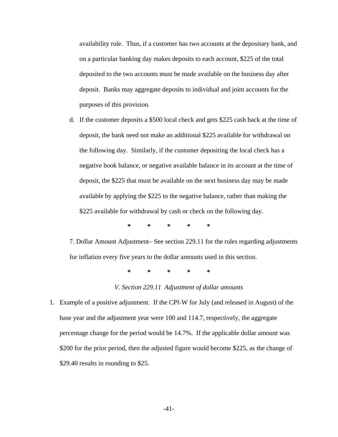availability rule. Thus, if a customer has two accounts at the depositary bank, and on a particular banking day makes deposits to each account, \$225 of the total deposited to the two accounts must be made available on the business day after deposit. Banks may aggregate deposits to individual and joint accounts for the purposes of this provision.

d. If the customer deposits a \$500 local check and gets \$225 cash back at the time of deposit, the bank need not make an additional \$225 available for withdrawal on the following day. Similarly, if the customer depositing the local check has a negative book balance, or negative available balance in its account at the time of deposit, the \$225 that must be available on the next business day may be made available by applying the \$225 to the negative balance, rather than making the \$225 available for withdrawal by cash or check on the following day.

**\* \* \* \* \***

7. Dollar Amount Adjustment– See section 229.11 for the rules regarding adjustments for inflation every five years to the dollar amounts used in this section.

**\* \* \* \* \***

### *V. Section 229.11 Adjustment of dollar amounts*

1. Example of a positive adjustment. If the CPI-W for July (and released in August) of the base year and the adjustment year were 100 and 114.7, respectively, the aggregate percentage change for the period would be 14.7%. If the applicable dollar amount was \$200 for the prior period, then the adjusted figure would become \$225, as the change of \$29.40 results in rounding to \$25.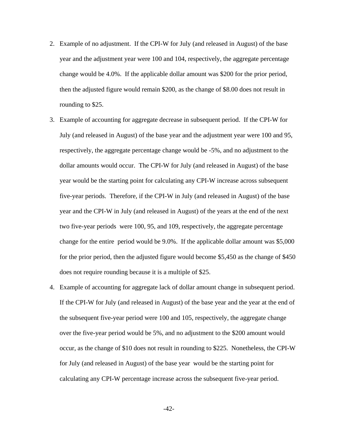- 2. Example of no adjustment. If the CPI-W for July (and released in August) of the base year and the adjustment year were 100 and 104, respectively, the aggregate percentage change would be 4.0%. If the applicable dollar amount was \$200 for the prior period, then the adjusted figure would remain \$200, as the change of \$8.00 does not result in rounding to \$25.
- 3. Example of accounting for aggregate decrease in subsequent period. If the CPI-W for July (and released in August) of the base year and the adjustment year were 100 and 95, respectively, the aggregate percentage change would be -5%, and no adjustment to the dollar amounts would occur. The CPI-W for July (and released in August) of the base year would be the starting point for calculating any CPI-W increase across subsequent five-year periods. Therefore, if the CPI-W in July (and released in August) of the base year and the CPI-W in July (and released in August) of the years at the end of the next two five-year periods were 100, 95, and 109, respectively, the aggregate percentage change for the entire period would be 9.0%. If the applicable dollar amount was \$5,000 for the prior period, then the adjusted figure would become \$5,450 as the change of \$450 does not require rounding because it is a multiple of \$25.
- 4. Example of accounting for aggregate lack of dollar amount change in subsequent period. If the CPI-W for July (and released in August) of the base year and the year at the end of the subsequent five-year period were 100 and 105, respectively, the aggregate change over the five-year period would be 5%, and no adjustment to the \$200 amount would occur, as the change of \$10 does not result in rounding to \$225. Nonetheless, the CPI-W for July (and released in August) of the base year would be the starting point for calculating any CPI-W percentage increase across the subsequent five-year period.

-42-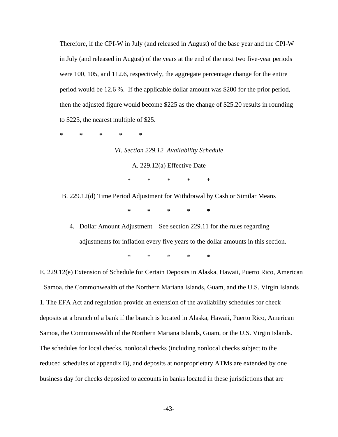Therefore, if the CPI-W in July (and released in August) of the base year and the CPI-W in July (and released in August) of the years at the end of the next two five-year periods were 100, 105, and 112.6, respectively, the aggregate percentage change for the entire period would be 12.6 %. If the applicable dollar amount was \$200 for the prior period, then the adjusted figure would become \$225 as the change of \$25.20 results in rounding to \$225, the nearest multiple of \$25.

**\* \* \* \* \***

*VI. Section 229.12 Availability Schedule*

A. 229.12(a) Effective Date

\* \* \* \* \*

B. 229.12(d) Time Period Adjustment for Withdrawal by Cash or Similar Means **\* \* \* \* \***

4. Dollar Amount Adjustment – See section 229.11 for the rules regarding adjustments for inflation every five years to the dollar amounts in this section.

\* \* \* \* \*

E. 229.12(e) Extension of Schedule for Certain Deposits in Alaska, Hawaii, Puerto Rico, American Samoa, the Commonwealth of the Northern Mariana Islands, Guam, and the U.S. Virgin Islands 1. The EFA Act and regulation provide an extension of the availability schedules for check deposits at a branch of a bank if the branch is located in Alaska, Hawaii, Puerto Rico, American Samoa, the Commonwealth of the Northern Mariana Islands, Guam, or the U.S. Virgin Islands. The schedules for local checks, nonlocal checks (including nonlocal checks subject to the reduced schedules of appendix B), and deposits at nonproprietary ATMs are extended by one business day for checks deposited to accounts in banks located in these jurisdictions that are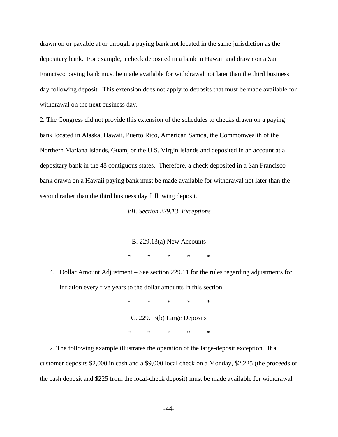drawn on or payable at or through a paying bank not located in the same jurisdiction as the depositary bank. For example, a check deposited in a bank in Hawaii and drawn on a San Francisco paying bank must be made available for withdrawal not later than the third business day following deposit. This extension does not apply to deposits that must be made available for withdrawal on the next business day.

2. The Congress did not provide this extension of the schedules to checks drawn on a paying bank located in Alaska, Hawaii, Puerto Rico, American Samoa, the Commonwealth of the Northern Mariana Islands, Guam, or the U.S. Virgin Islands and deposited in an account at a depositary bank in the 48 contiguous states. Therefore, a check deposited in a San Francisco bank drawn on a Hawaii paying bank must be made available for withdrawal not later than the second rather than the third business day following deposit.

*VII. Section 229.13 Exceptions*

B. 229.13(a) New Accounts

\* \* \* \* \*

4. Dollar Amount Adjustment – See section 229.11 for the rules regarding adjustments for inflation every five years to the dollar amounts in this section.

> \* \* \* \* \* C. 229.13(b) Large Deposits \* \* \* \* \*

 2. The following example illustrates the operation of the large-deposit exception. If a customer deposits \$2,000 in cash and a \$9,000 local check on a Monday, \$2,225 (the proceeds of the cash deposit and \$225 from the local-check deposit) must be made available for withdrawal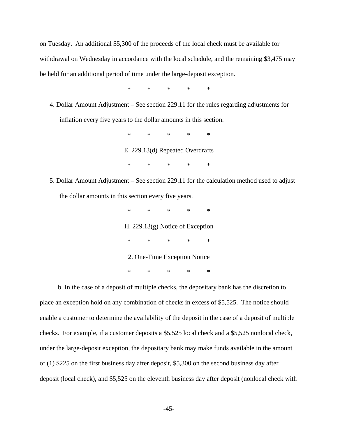on Tuesday. An additional \$5,300 of the proceeds of the local check must be available for withdrawal on Wednesday in accordance with the local schedule, and the remaining \$3,475 may be held for an additional period of time under the large-deposit exception.

\* \* \* \* \*

4. Dollar Amount Adjustment – See section 229.11 for the rules regarding adjustments for inflation every five years to the dollar amounts in this section.

> \* \* \* \* \* E. 229.13(d) Repeated Overdrafts \* \* \* \* \*

5. Dollar Amount Adjustment – See section 229.11 for the calculation method used to adjust the dollar amounts in this section every five years.

> \* \* \* \* \* H. 229.13(g) Notice of Exception \* \* \* \* \* 2. One-Time Exception Notice \* \* \* \* \*

 b. In the case of a deposit of multiple checks, the depositary bank has the discretion to place an exception hold on any combination of checks in excess of \$5,525. The notice should enable a customer to determine the availability of the deposit in the case of a deposit of multiple checks. For example, if a customer deposits a \$5,525 local check and a \$5,525 nonlocal check, under the large-deposit exception, the depositary bank may make funds available in the amount of (1) \$225 on the first business day after deposit, \$5,300 on the second business day after deposit (local check), and \$5,525 on the eleventh business day after deposit (nonlocal check with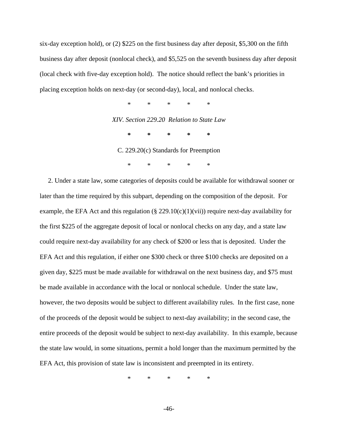six-day exception hold), or (2) \$225 on the first business day after deposit, \$5,300 on the fifth business day after deposit (nonlocal check), and \$5,525 on the seventh business day after deposit (local check with five-day exception hold). The notice should reflect the bank's priorities in placing exception holds on next-day (or second-day), local, and nonlocal checks.

> \* \* \* \* \* *XIV. Section 229.20 Relation to State Law* **\* \* \* \* \*** C. 229.20(c) Standards for Preemption \* \* \* \* \*

2. Under a state law, some categories of deposits could be available for withdrawal sooner or later than the time required by this subpart, depending on the composition of the deposit. For example, the EFA Act and this regulation  $(\S$  229.10(c)(1)(vii)) require next-day availability for the first \$225 of the aggregate deposit of local or nonlocal checks on any day, and a state law could require next-day availability for any check of \$200 or less that is deposited. Under the EFA Act and this regulation, if either one \$300 check or three \$100 checks are deposited on a given day, \$225 must be made available for withdrawal on the next business day, and \$75 must be made available in accordance with the local or nonlocal schedule. Under the state law, however, the two deposits would be subject to different availability rules. In the first case, none of the proceeds of the deposit would be subject to next-day availability; in the second case, the entire proceeds of the deposit would be subject to next-day availability. In this example, because the state law would, in some situations, permit a hold longer than the maximum permitted by the EFA Act, this provision of state law is inconsistent and preempted in its entirety.

\* \* \* \* \*

-46-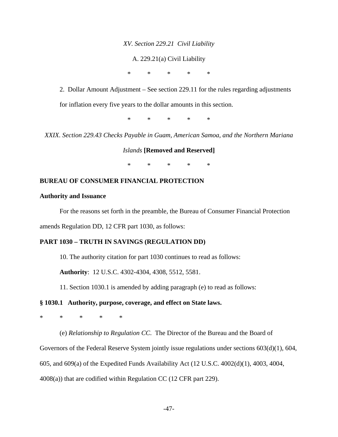### *XV. Section 229.21 Civil Liability*

### A. 229.21(a) Civil Liability

\* \* \* \* \*

2. Dollar Amount Adjustment – See section 229.11 for the rules regarding adjustments for inflation every five years to the dollar amounts in this section.

\* \* \* \* \*

*XXIX. Section 229.43 Checks Payable in Guam, American Samoa, and the Northern Mariana* 

*Islands* **[Removed and Reserved]**

\* \* \* \* \*

### **BUREAU OF CONSUMER FINANCIAL PROTECTION**

### **Authority and Issuance**

For the reasons set forth in the preamble, the Bureau of Consumer Financial Protection

amends Regulation DD, 12 CFR part 1030, as follows:

### **PART 1030 – TRUTH IN SAVINGS (REGULATION DD)**

10. The authority citation for part 1030 continues to read as follows:

**Authority**: 12 U.S.C. 4302-4304, 4308, 5512, 5581.

11. Section 1030.1 is amended by adding paragraph (e) to read as follows:

### **§ 1030.1 Authority, purpose, coverage, and effect on State laws.**

\* \* \* \* \*

(e) *Relationship to Regulation CC*. The Director of the Bureau and the Board of Governors of the Federal Reserve System jointly issue regulations under sections 603(d)(1), 604, 605, and 609(a) of the Expedited Funds Availability Act (12 U.S.C. 4002(d)(1), 4003, 4004, 4008(a)) that are codified within Regulation CC (12 CFR part 229).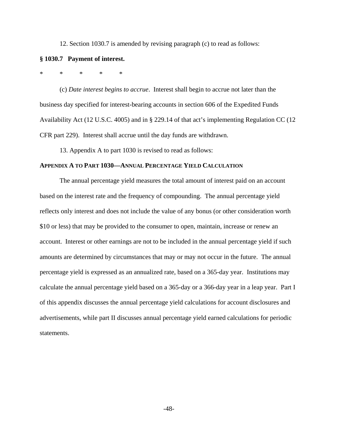12. Section 1030.7 is amended by revising paragraph (c) to read as follows:

### **§ 1030.7 Payment of interest.**

\* \* \* \* \*

(c) *Date interest begins to accrue*. Interest shall begin to accrue not later than the business day specified for interest-bearing accounts in section 606 of the Expedited Funds Availability Act (12 U.S.C. 4005) and in § 229.14 of that act's implementing Regulation CC (12 CFR part 229). Interest shall accrue until the day funds are withdrawn.

13. Appendix A to part 1030 is revised to read as follows:

### **APPENDIX A TO PART 1030—ANNUAL PERCENTAGE YIELD CALCULATION**

The annual percentage yield measures the total amount of interest paid on an account based on the interest rate and the frequency of compounding. The annual percentage yield reflects only interest and does not include the value of any bonus (or other consideration worth \$10 or less) that may be provided to the consumer to open, maintain, increase or renew an account. Interest or other earnings are not to be included in the annual percentage yield if such amounts are determined by circumstances that may or may not occur in the future. The annual percentage yield is expressed as an annualized rate, based on a 365-day year. Institutions may calculate the annual percentage yield based on a 365-day or a 366-day year in a leap year. Part I of this appendix discusses the annual percentage yield calculations for account disclosures and advertisements, while part II discusses annual percentage yield earned calculations for periodic statements.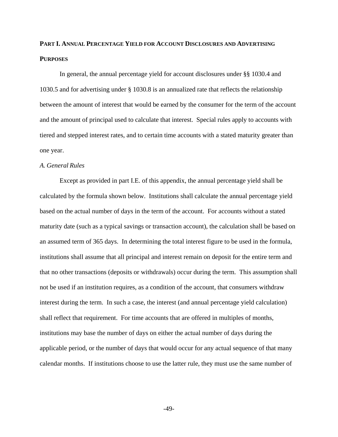## **PART I. ANNUAL PERCENTAGE YIELD FOR ACCOUNT DISCLOSURES AND ADVERTISING PURPOSES**

In general, the annual percentage yield for account disclosures under §§ 1030.4 and 1030.5 and for advertising under § 1030.8 is an annualized rate that reflects the relationship between the amount of interest that would be earned by the consumer for the term of the account and the amount of principal used to calculate that interest. Special rules apply to accounts with tiered and stepped interest rates, and to certain time accounts with a stated maturity greater than one year.

### *A. General Rules*

Except as provided in part I.E. of this appendix, the annual percentage yield shall be calculated by the formula shown below. Institutions shall calculate the annual percentage yield based on the actual number of days in the term of the account. For accounts without a stated maturity date (such as a typical savings or transaction account), the calculation shall be based on an assumed term of 365 days. In determining the total interest figure to be used in the formula, institutions shall assume that all principal and interest remain on deposit for the entire term and that no other transactions (deposits or withdrawals) occur during the term. This assumption shall not be used if an institution requires, as a condition of the account, that consumers withdraw interest during the term. In such a case, the interest (and annual percentage yield calculation) shall reflect that requirement. For time accounts that are offered in multiples of months, institutions may base the number of days on either the actual number of days during the applicable period, or the number of days that would occur for any actual sequence of that many calendar months. If institutions choose to use the latter rule, they must use the same number of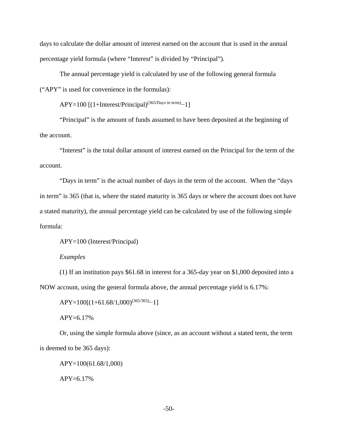days to calculate the dollar amount of interest earned on the account that is used in the annual percentage yield formula (where "Interest" is divided by "Principal").

The annual percentage yield is calculated by use of the following general formula ("APY" is used for convenience in the formulas):

 $APY=100$  [(1+Interest/Principal)<sup>(365/Days in term)</sup>−1]

"Principal" is the amount of funds assumed to have been deposited at the beginning of the account.

"Interest" is the total dollar amount of interest earned on the Principal for the term of the account.

"Days in term" is the actual number of days in the term of the account. When the "days in term" is 365 (that is, where the stated maturity is 365 days or where the account does not have a stated maturity), the annual percentage yield can be calculated by use of the following simple formula:

APY=100 (Interest/Principal)

### *Examples*

(1) If an institution pays \$61.68 in interest for a 365-day year on \$1,000 deposited into a NOW account, using the general formula above, the annual percentage yield is 6.17%:

 $APY=100[(1+61.68/1,000)^{(365/365)}-1]$ 

APY=6.17%

Or, using the simple formula above (since, as an account without a stated term, the term is deemed to be 365 days):

APY=100(61.68/1,000)  $APY=6.17%$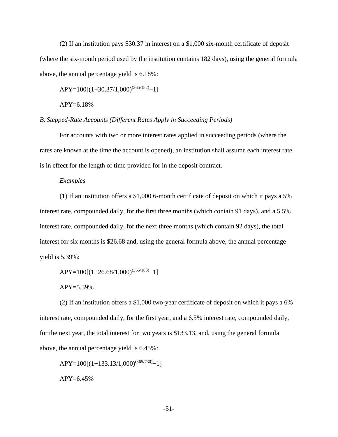(2) If an institution pays \$30.37 in interest on a \$1,000 six-month certificate of deposit (where the six-month period used by the institution contains 182 days), using the general formula above, the annual percentage yield is 6.18%:

APY=100[(1+30.37/1,000)(365/182)−1]

APY=6.18%

*B. Stepped-Rate Accounts (Different Rates Apply in Succeeding Periods)*

For accounts with two or more interest rates applied in succeeding periods (where the rates are known at the time the account is opened), an institution shall assume each interest rate is in effect for the length of time provided for in the deposit contract.

### *Examples*

(1) If an institution offers a \$1,000 6-month certificate of deposit on which it pays a 5% interest rate, compounded daily, for the first three months (which contain 91 days), and a 5.5% interest rate, compounded daily, for the next three months (which contain 92 days), the total interest for six months is \$26.68 and, using the general formula above, the annual percentage yield is 5.39%:

 $APY=100[(1+26.68/1,000)^{(365/183)}-1]$ 

APY=5.39%

(2) If an institution offers a \$1,000 two-year certificate of deposit on which it pays a 6% interest rate, compounded daily, for the first year, and a 6.5% interest rate, compounded daily, for the next year, the total interest for two years is \$133.13, and, using the general formula above, the annual percentage yield is 6.45%:

 $APY=100[(1+133.13/1,000)^{(365/730)}-1]$  $APY=6.45%$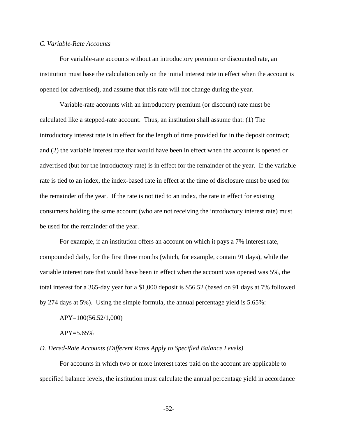### *C. Variable-Rate Accounts*

For variable-rate accounts without an introductory premium or discounted rate, an institution must base the calculation only on the initial interest rate in effect when the account is opened (or advertised), and assume that this rate will not change during the year.

Variable-rate accounts with an introductory premium (or discount) rate must be calculated like a stepped-rate account. Thus, an institution shall assume that: (1) The introductory interest rate is in effect for the length of time provided for in the deposit contract; and (2) the variable interest rate that would have been in effect when the account is opened or advertised (but for the introductory rate) is in effect for the remainder of the year. If the variable rate is tied to an index, the index-based rate in effect at the time of disclosure must be used for the remainder of the year. If the rate is not tied to an index, the rate in effect for existing consumers holding the same account (who are not receiving the introductory interest rate) must be used for the remainder of the year.

For example, if an institution offers an account on which it pays a 7% interest rate, compounded daily, for the first three months (which, for example, contain 91 days), while the variable interest rate that would have been in effect when the account was opened was 5%, the total interest for a 365-day year for a \$1,000 deposit is \$56.52 (based on 91 days at 7% followed by 274 days at 5%). Using the simple formula, the annual percentage yield is 5.65%:

### APY=100(56.52/1,000)

### APY=5.65%

### *D. Tiered-Rate Accounts (Different Rates Apply to Specified Balance Levels)*

For accounts in which two or more interest rates paid on the account are applicable to specified balance levels, the institution must calculate the annual percentage yield in accordance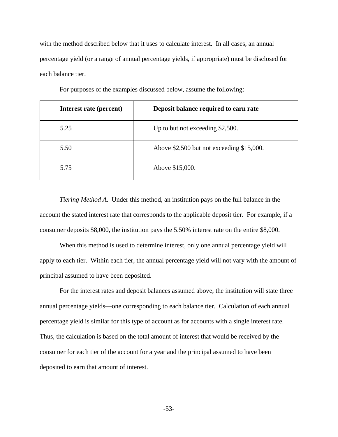with the method described below that it uses to calculate interest. In all cases, an annual percentage yield (or a range of annual percentage yields, if appropriate) must be disclosed for each balance tier.

| Interest rate (percent) | Deposit balance required to earn rate        |  |
|-------------------------|----------------------------------------------|--|
| 5.25                    | Up to but not exceeding $$2,500$ .           |  |
| 5.50                    | Above $$2,500$ but not exceeding $$15,000$ . |  |
| 5.75                    | Above \$15,000.                              |  |

For purposes of the examples discussed below, assume the following:

*Tiering Method A*. Under this method, an institution pays on the full balance in the account the stated interest rate that corresponds to the applicable deposit tier. For example, if a consumer deposits \$8,000, the institution pays the 5.50% interest rate on the entire \$8,000.

When this method is used to determine interest, only one annual percentage yield will apply to each tier. Within each tier, the annual percentage yield will not vary with the amount of principal assumed to have been deposited.

For the interest rates and deposit balances assumed above, the institution will state three annual percentage yields—one corresponding to each balance tier. Calculation of each annual percentage yield is similar for this type of account as for accounts with a single interest rate. Thus, the calculation is based on the total amount of interest that would be received by the consumer for each tier of the account for a year and the principal assumed to have been deposited to earn that amount of interest.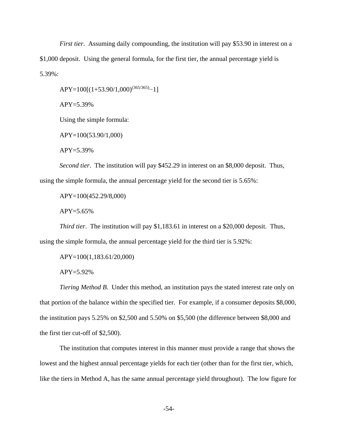*First tier*. Assuming daily compounding, the institution will pay \$53.90 in interest on a \$1,000 deposit. Using the general formula, for the first tier, the annual percentage yield is 5.39%:

APY=100[(1+53.90/1,000)(365/365)−1]

APY=5.39%

Using the simple formula:

APY=100(53.90/1,000)

 $APY = 5.39\%$ 

*Second tier*. The institution will pay \$452.29 in interest on an \$8,000 deposit. Thus, using the simple formula, the annual percentage yield for the second tier is 5.65%:

APY=100(452.29/8,000)

APY=5.65%

*Third tier*. The institution will pay \$1,183.61 in interest on a \$20,000 deposit. Thus, using the simple formula, the annual percentage yield for the third tier is 5.92%:

APY=100(1,183.61/20,000)

APY=5.92%

*Tiering Method B*. Under this method, an institution pays the stated interest rate only on that portion of the balance within the specified tier. For example, if a consumer deposits \$8,000, the institution pays 5.25% on \$2,500 and 5.50% on \$5,500 (the difference between \$8,000 and the first tier cut-off of \$2,500).

The institution that computes interest in this manner must provide a range that shows the lowest and the highest annual percentage yields for each tier (other than for the first tier, which, like the tiers in Method A, has the same annual percentage yield throughout). The low figure for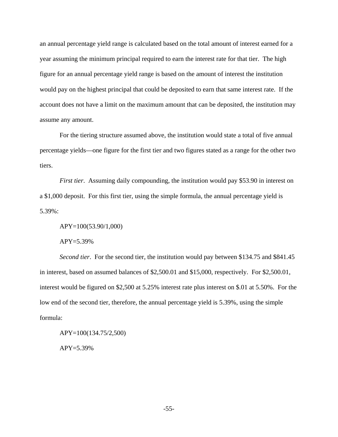an annual percentage yield range is calculated based on the total amount of interest earned for a year assuming the minimum principal required to earn the interest rate for that tier. The high figure for an annual percentage yield range is based on the amount of interest the institution would pay on the highest principal that could be deposited to earn that same interest rate. If the account does not have a limit on the maximum amount that can be deposited, the institution may assume any amount.

For the tiering structure assumed above, the institution would state a total of five annual percentage yields—one figure for the first tier and two figures stated as a range for the other two tiers.

*First tier.* Assuming daily compounding, the institution would pay \$53.90 in interest on a \$1,000 deposit. For this first tier, using the simple formula, the annual percentage yield is 5.39%:

APY=100(53.90/1,000)

APY=5.39%

*Second tier*. For the second tier, the institution would pay between \$134.75 and \$841.45 in interest, based on assumed balances of \$2,500.01 and \$15,000, respectively. For \$2,500.01, interest would be figured on \$2,500 at 5.25% interest rate plus interest on \$.01 at 5.50%. For the low end of the second tier, therefore, the annual percentage yield is 5.39%, using the simple formula:

APY=100(134.75/2,500)

APY=5.39%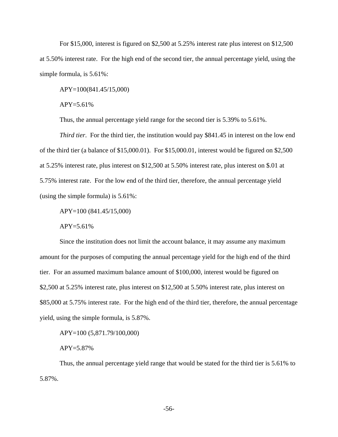For \$15,000, interest is figured on \$2,500 at 5.25% interest rate plus interest on \$12,500 at 5.50% interest rate. For the high end of the second tier, the annual percentage yield, using the simple formula, is 5.61%:

APY=100(841.45/15,000)

 $APY = 5.61\%$ 

Thus, the annual percentage yield range for the second tier is 5.39% to 5.61%.

*Third tier*. For the third tier, the institution would pay \$841.45 in interest on the low end of the third tier (a balance of \$15,000.01). For \$15,000.01, interest would be figured on \$2,500 at 5.25% interest rate, plus interest on \$12,500 at 5.50% interest rate, plus interest on \$.01 at 5.75% interest rate. For the low end of the third tier, therefore, the annual percentage yield (using the simple formula) is 5.61%:

APY=100 (841.45/15,000)

 $APY = 5.61\%$ 

Since the institution does not limit the account balance, it may assume any maximum amount for the purposes of computing the annual percentage yield for the high end of the third tier. For an assumed maximum balance amount of \$100,000, interest would be figured on \$2,500 at 5.25% interest rate, plus interest on \$12,500 at 5.50% interest rate, plus interest on \$85,000 at 5.75% interest rate. For the high end of the third tier, therefore, the annual percentage yield, using the simple formula, is 5.87%.

APY=100 (5,871.79/100,000)

APY=5.87%

Thus, the annual percentage yield range that would be stated for the third tier is 5.61% to 5.87%.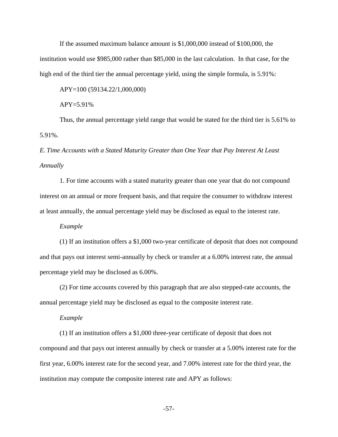If the assumed maximum balance amount is \$1,000,000 instead of \$100,000, the institution would use \$985,000 rather than \$85,000 in the last calculation. In that case, for the high end of the third tier the annual percentage yield, using the simple formula, is 5.91%:

APY=100 (59134.22/1,000,000)

APY=5.91%

Thus, the annual percentage yield range that would be stated for the third tier is 5.61% to 5.91%.

## *E. Time Accounts with a Stated Maturity Greater than One Year that Pay Interest At Least Annually*

1. For time accounts with a stated maturity greater than one year that do not compound interest on an annual or more frequent basis, and that require the consumer to withdraw interest at least annually, the annual percentage yield may be disclosed as equal to the interest rate.

*Example*

(1) If an institution offers a \$1,000 two-year certificate of deposit that does not compound and that pays out interest semi-annually by check or transfer at a 6.00% interest rate, the annual percentage yield may be disclosed as 6.00%.

(2) For time accounts covered by this paragraph that are also stepped-rate accounts, the annual percentage yield may be disclosed as equal to the composite interest rate.

*Example*

(1) If an institution offers a \$1,000 three-year certificate of deposit that does not compound and that pays out interest annually by check or transfer at a 5.00% interest rate for the first year, 6.00% interest rate for the second year, and 7.00% interest rate for the third year, the institution may compute the composite interest rate and APY as follows:

-57-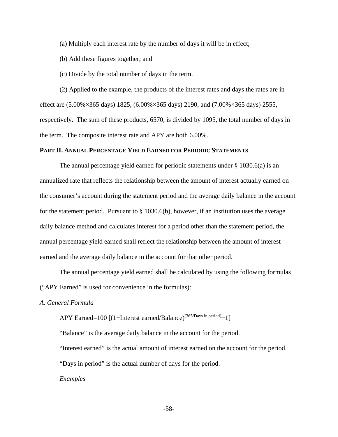(a) Multiply each interest rate by the number of days it will be in effect;

(b) Add these figures together; and

(c) Divide by the total number of days in the term.

(2) Applied to the example, the products of the interest rates and days the rates are in effect are (5.00%×365 days) 1825, (6.00%×365 days) 2190, and (7.00%×365 days) 2555, respectively. The sum of these products, 6570, is divided by 1095, the total number of days in the term. The composite interest rate and APY are both 6.00%.

### **PART II. ANNUAL PERCENTAGE YIELD EARNED FOR PERIODIC STATEMENTS**

The annual percentage yield earned for periodic statements under § 1030.6(a) is an annualized rate that reflects the relationship between the amount of interest actually earned on the consumer's account during the statement period and the average daily balance in the account for the statement period. Pursuant to  $\S$  1030.6(b), however, if an institution uses the average daily balance method and calculates interest for a period other than the statement period, the annual percentage yield earned shall reflect the relationship between the amount of interest earned and the average daily balance in the account for that other period.

The annual percentage yield earned shall be calculated by using the following formulas ("APY Earned" is used for convenience in the formulas):

### *A. General Formula*

APY Earned=100 [(1+Interest earned/Balance)<sup>(365/Days in period)</sup>−1]

"Balance" is the average daily balance in the account for the period.

"Interest earned" is the actual amount of interest earned on the account for the period.

"Days in period" is the actual number of days for the period.

*Examples*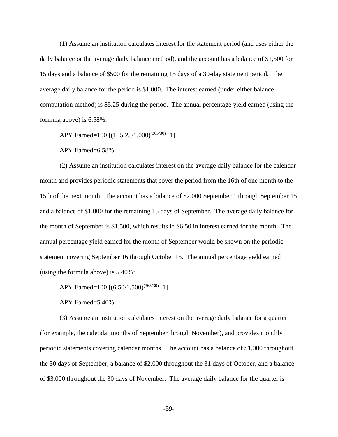(1) Assume an institution calculates interest for the statement period (and uses either the daily balance or the average daily balance method), and the account has a balance of \$1,500 for 15 days and a balance of \$500 for the remaining 15 days of a 30-day statement period. The average daily balance for the period is \$1,000. The interest earned (under either balance computation method) is \$5.25 during the period. The annual percentage yield earned (using the formula above) is 6.58%:

APY Earned=100 [(1+5.25/1,000)<sup>(365/30)</sup>−1]

APY Earned=6.58%

(2) Assume an institution calculates interest on the average daily balance for the calendar month and provides periodic statements that cover the period from the 16th of one month to the 15th of the next month. The account has a balance of \$2,000 September 1 through September 15 and a balance of \$1,000 for the remaining 15 days of September. The average daily balance for the month of September is \$1,500, which results in \$6.50 in interest earned for the month. The annual percentage yield earned for the month of September would be shown on the periodic statement covering September 16 through October 15. The annual percentage yield earned (using the formula above) is 5.40%:

APY Earned=100 [(6.50/1,500)<sup>(365/30)</sup>−1]

APY Earned=5.40%

(3) Assume an institution calculates interest on the average daily balance for a quarter (for example, the calendar months of September through November), and provides monthly periodic statements covering calendar months. The account has a balance of \$1,000 throughout the 30 days of September, a balance of \$2,000 throughout the 31 days of October, and a balance of \$3,000 throughout the 30 days of November. The average daily balance for the quarter is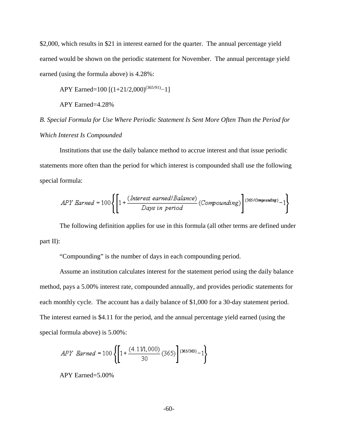\$2,000, which results in \$21 in interest earned for the quarter. The annual percentage yield earned would be shown on the periodic statement for November. The annual percentage yield earned (using the formula above) is 4.28%:

APY Earned=100 [(1+21/2,000)<sup>(365/91)</sup>−1]

APY Earned=4.28%

*B*. *Special Formula for Use Where Periodic Statement Is Sent More Often Than the Period for Which Interest Is Compounded* 

Institutions that use the daily balance method to accrue interest and that issue periodic statements more often than the period for which interest is compounded shall use the following special formula:

$$
APY\;Barned = 100\left\{\left[1 + \frac{(\text{Interest earned} \mid \text{Balance})}{\text{Days in period}}\left(\text{Compounding}\right)\right]\right\}^{(365/\text{Compounding})} - 1\right\}
$$

The following definition applies for use in this formula (all other terms are defined under part II):

"Compounding" is the number of days in each compounding period.

Assume an institution calculates interest for the statement period using the daily balance method, pays a 5.00% interest rate, compounded annually, and provides periodic statements for each monthly cycle. The account has a daily balance of \$1,000 for a 30-day statement period. The interest earned is \$4.11 for the period, and the annual percentage yield earned (using the special formula above) is 5.00%:

$$
APY\;\;\! = 100 \left\{ \left[ 1 + \frac{(4.11/1,000)}{30} \left( 365 \right) \right] {}^{(365/365)} - 1 \right\}
$$

APY Earned=5.00%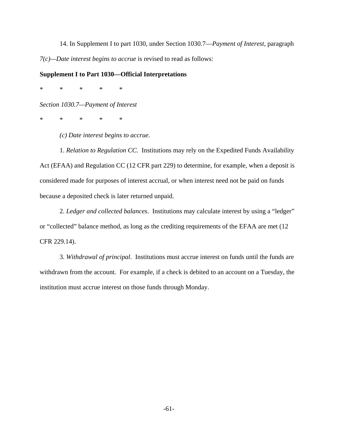14. In Supplement I to part 1030, under Section 1030.7—*Payment of Interest*, paragraph *7(c)—Date interest begins to accrue* is revised to read as follows:

### **Supplement I to Part 1030—Official Interpretations**

\* \* \* \* \*

*Section 1030.7—Payment of Interest*

\* \* \* \* \*

*(c) Date interest begins to accrue.*

1. *Relation to Regulation CC.* Institutions may rely on the Expedited Funds Availability Act (EFAA) and Regulation CC (12 CFR part 229) to determine, for example, when a deposit is considered made for purposes of interest accrual, or when interest need not be paid on funds because a deposited check is later returned unpaid.

2. *Ledger and collected balances*. Institutions may calculate interest by using a "ledger" or "collected" balance method, as long as the crediting requirements of the EFAA are met (12 CFR 229.14).

3. *Withdrawal of principal*. Institutions must accrue interest on funds until the funds are withdrawn from the account. For example, if a check is debited to an account on a Tuesday, the institution must accrue interest on those funds through Monday.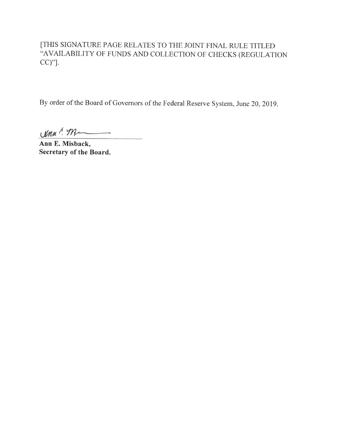[THIS SIGNATURE PAGE RELATES TO THE JOINT FINAL RULE TITLED "AVAILABILITY OF FUNDS AND COLLECTION OF CHECKS (REGULATION  $CC)$ "].

By order of the Board of Governors of the Federal Reserve System, June 20, 2019.

 $V$ MM!  $M$ 

Ann E. Misback, Secretary of the Board.